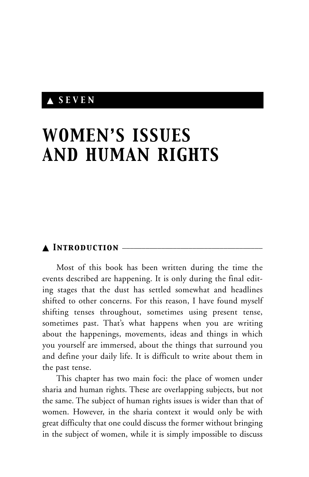## ▲ *SEVEN*

# *WOMEN'S ISSUES AND HUMAN RIGHTS*

## ▲ *Introduction* \_\_\_\_\_\_\_\_\_\_\_\_\_\_\_\_\_\_\_\_\_\_\_\_\_\_\_\_\_\_\_\_\_\_\_\_

Most of this book has been written during the time the events described are happening. It is only during the final editing stages that the dust has settled somewhat and headlines shifted to other concerns. For this reason, I have found myself shifting tenses throughout, sometimes using present tense, sometimes past. That's what happens when you are writing about the happenings, movements, ideas and things in which you yourself are immersed, about the things that surround you and define your daily life. It is difficult to write about them in the past tense.

This chapter has two main foci: the place of women under sharia and human rights. These are overlapping subjects, but not the same. The subject of human rights issues is wider than that of women. However, in the sharia context it would only be with great difficulty that one could discuss the former without bringing in the subject of women, while it is simply impossible to discuss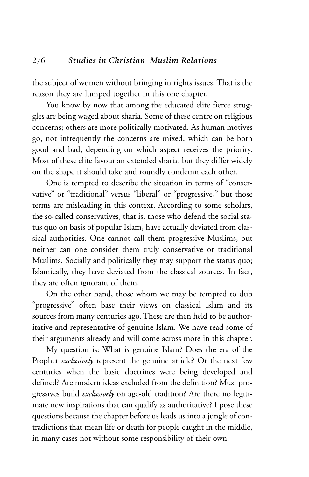the subject of women without bringing in rights issues. That is the reason they are lumped together in this one chapter.

You know by now that among the educated elite fierce struggles are being waged about sharia. Some of these centre on religious concerns; others are more politically motivated. As human motives go, not infrequently the concerns are mixed, which can be both good and bad, depending on which aspect receives the priority. Most of these elite favour an extended sharia, but they differ widely on the shape it should take and roundly condemn each other.

One is tempted to describe the situation in terms of "conservative" or "traditional" versus "liberal" or "progressive," but those terms are misleading in this context. According to some scholars, the so-called conservatives, that is, those who defend the social status quo on basis of popular Islam, have actually deviated from classical authorities. One cannot call them progressive Muslims, but neither can one consider them truly conservative or traditional Muslims. Socially and politically they may support the status quo; Islamically, they have deviated from the classical sources. In fact, they are often ignorant of them.

On the other hand, those whom we may be tempted to dub "progressive" often base their views on classical Islam and its sources from many centuries ago. These are then held to be authoritative and representative of genuine Islam. We have read some of their arguments already and will come across more in this chapter.

My question is: What is genuine Islam? Does the era of the Prophet *exclusively* represent the genuine article? Or the next few centuries when the basic doctrines were being developed and defined? Are modern ideas excluded from the definition? Must progressives build *exclusively* on age-old tradition? Are there no legitimate new inspirations that can qualify as authoritative? I pose these questions because the chapter before us leads us into a jungle of contradictions that mean life or death for people caught in the middle, in many cases not without some responsibility of their own.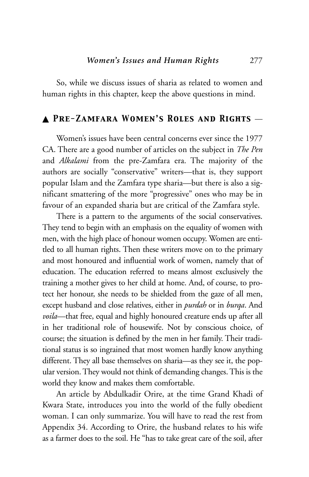So, while we discuss issues of sharia as related to women and human rights in this chapter, keep the above questions in mind.

## ▲ *Pre-Zamfara Women's Roles and Rights* \_\_

Women's issues have been central concerns ever since the 1977 CA. There are a good number of articles on the subject in *The Pen* and *Alkalami* from the pre-Zamfara era. The majority of the authors are socially "conservative" writers—that is, they support popular Islam and the Zamfara type sharia—but there is also a significant smattering of the more "progressive" ones who may be in favour of an expanded sharia but are critical of the Zamfara style.

There is a pattern to the arguments of the social conservatives. They tend to begin with an emphasis on the equality of women with men, with the high place of honour women occupy. Women are entitled to all human rights. Then these writers move on to the primary and most honoured and influential work of women, namely that of education. The education referred to means almost exclusively the training a mother gives to her child at home. And, of course, to protect her honour, she needs to be shielded from the gaze of all men, except husband and close relatives, either in *purdah* or in *burqa*. And *voila*—that free, equal and highly honoured creature ends up after all in her traditional role of housewife. Not by conscious choice, of course; the situation is defined by the men in her family. Their traditional status is so ingrained that most women hardly know anything different. They all base themselves on sharia—as they see it, the popular version. They would not think of demanding changes. This is the world they know and makes them comfortable.

An article by Abdulkadir Orire, at the time Grand Khadi of Kwara State, introduces you into the world of the fully obedient woman. I can only summarize. You will have to read the rest from Appendix 34. According to Orire, the husband relates to his wife as a farmer does to the soil. He "has to take great care of the soil, after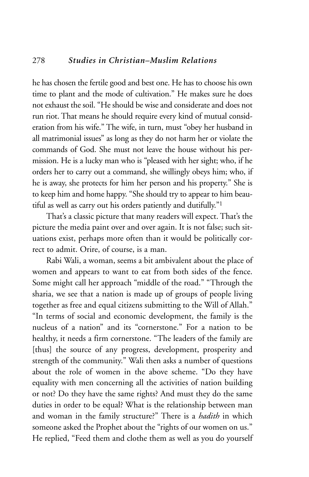## 278 *Studies in Christian–Muslim Relations*

he has chosen the fertile good and best one. He has to choose his own time to plant and the mode of cultivation." He makes sure he does not exhaust the soil. "He should be wise and considerate and does not run riot. That means he should require every kind of mutual consideration from his wife." The wife, in turn, must "obey her husband in all matrimonial issues" as long as they do not harm her or violate the commands of God. She must not leave the house without his permission. He is a lucky man who is "pleased with her sight; who, if he orders her to carry out a command, she willingly obeys him; who, if he is away, she protects for him her person and his property." She is to keep him and home happy. "She should try to appear to him beautiful as well as carry out his orders patiently and dutifully."1

That's a classic picture that many readers will expect. That's the picture the media paint over and over again. It is not false; such situations exist, perhaps more often than it would be politically correct to admit. Orire, of course, is a man.

Rabi Wali, a woman, seems a bit ambivalent about the place of women and appears to want to eat from both sides of the fence. Some might call her approach "middle of the road." "Through the sharia, we see that a nation is made up of groups of people living together as free and equal citizens submitting to the Will of Allah." "In terms of social and economic development, the family is the nucleus of a nation" and its "cornerstone." For a nation to be healthy, it needs a firm cornerstone. "The leaders of the family are [thus] the source of any progress, development, prosperity and strength of the community." Wali then asks a number of questions about the role of women in the above scheme. "Do they have equality with men concerning all the activities of nation building or not? Do they have the same rights? And must they do the same duties in order to be equal? What is the relationship between man and woman in the family structure?" There is a *hadith* in which someone asked the Prophet about the "rights of our women on us." He replied, "Feed them and clothe them as well as you do yourself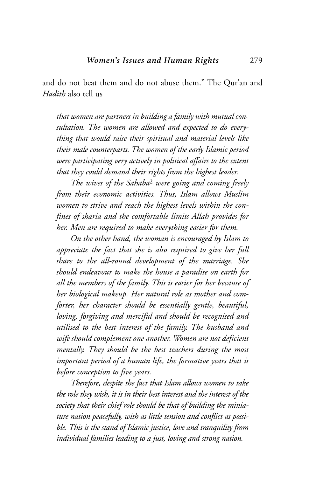and do not beat them and do not abuse them." The Qur'an and *Hadith* also tell us

*that women are partners in building a family with mutual consultation. The women are allowed and expected to do everything that would raise their spiritual and material levels like their male counterparts. The women of the early Islamic period were participating very actively in political affairs to the extent that they could demand their rights from the highest leader.* 

*The wives of the Sahaba*<sup>2</sup> *were going and coming freely from their economic activities. Thus, Islam allows Muslim women to strive and reach the highest levels within the confines of sharia and the comfortable limits Allah provides for her. Men are required to make everything easier for them.*

*On the other hand, the woman is encouraged by Islam to appreciate the fact that she is also required to give her full share to the all-round development of the marriage. She should endeavour to make the house a paradise on earth for all the members of the family. This is easier for her because of her biological makeup. Her natural role as mother and comforter, her character should be essentially gentle, beautiful, loving, forgiving and merciful and should be recognised and utilised to the best interest of the family. The husband and wife should complement one another. Women are not deficient mentally. They should be the best teachers during the most important period of a human life, the formative years that is before conception to five years.* 

*Therefore, despite the fact that Islam allows women to take the role they wish, it is in their best interest and the interest of the society that their chief role should be that of building the miniature nation peacefully, with as little tension and conflict as possible. This is the stand of Islamic justice, love and tranquility from individual families leading to a just, loving and strong nation.*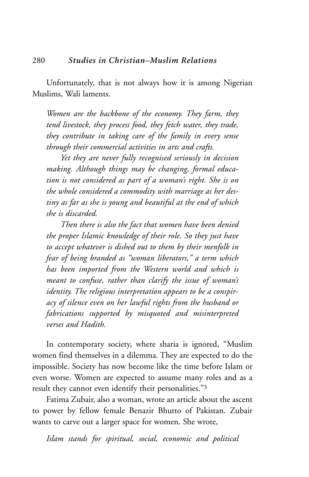Unfortunately, that is not always how it is among Nigerian Muslims, Wali laments.

*Women are the backbone of the economy. They farm, they tend livestock, they process food, they fetch water, they trade, they contribute in taking care of the family in every sense through their commercial activities in arts and crafts.*

*Yet they are never fully recognised seriously in decision making. Although things may be changing, formal education is not considered as part of a woman's right. She is on the whole considered a commodity with marriage as her destiny as far as she is young and beautiful at the end of which she is discarded.*

*Then there is also the fact that women have been denied the proper Islamic knowledge of their role. So they just have to accept whatever is dished out to them by their menfolk in fear of being branded as "woman liberators," a term which has been imported from the Western world and which is meant to confuse, rather than clarify the issue of woman's identity. The religious interpretation appears to be a conspiracy of silence even on her lawful rights from the husband or fabrications supported by misquoted and misinterpreted verses and Hadith.*

In contemporary society, where sharia is ignored, "Muslim women find themselves in a dilemma. They are expected to do the impossible. Society has now become like the time before Islam or even worse. Women are expected to assume many roles and as a result they cannot even identify their personalities."3

Fatima Zubair, also a woman, wrote an article about the ascent to power by fellow female Benazir Bhutto of Pakistan. Zubair wants to carve out a larger space for women. She wrote,

*Islam stands for spiritual, social, economic and political*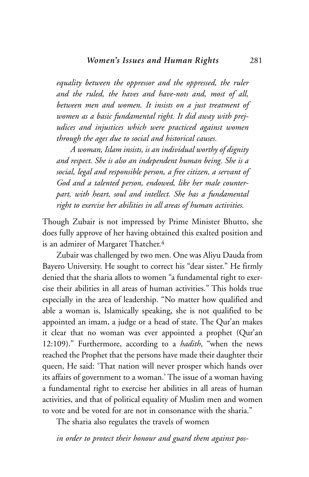*equality between the oppressor and the oppressed, the ruler and the ruled, the haves and have-nots and, most of all, between men and women. It insists on a just treatment of women as a basic fundamental right. It did away with prejudices and injustices which were practiced against women through the ages due to social and historical causes.* 

*A woman, Islam insists, is an individual worthy of dignity and respect. She is also an independent human being. She is a social, legal and responsible person, a free citizen, a servant of God and a talented person, endowed, like her male counterpart, with heart, soul and intellect. She has a fundamental right to exercise her abilities in all areas of human activities.*

Though Zubair is not impressed by Prime Minister Bhutto, she does fully approve of her having obtained this exalted position and is an admirer of Margaret Thatcher.<sup>4</sup>

Zubair was challenged by two men. One was Aliyu Dauda from Bayero University. He sought to correct his "dear sister." He firmly denied that the sharia allots to women "a fundamental right to exercise their abilities in all areas of human activities." This holds true especially in the area of leadership. "No matter how qualified and able a woman is, Islamically speaking, she is not qualified to be appointed an imam, a judge or a head of state. The Qur'an makes it clear that no woman was ever appointed a prophet (Qur'an 12:109)." Furthermore, according to a *hadith*, "when the news reached the Prophet that the persons have made their daughter their queen, He said: 'That nation will never prosper which hands over its affairs of government to a woman.' The issue of a woman having a fundamental right to exercise her abilities in all areas of human activities, and that of political equality of Muslim men and women to vote and be voted for are not in consonance with the sharia."

The sharia also regulates the travels of women

*in order to protect their honour and guard them against pos-*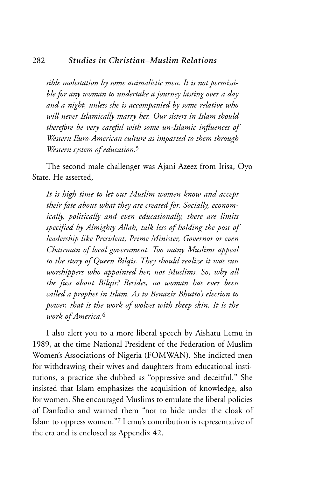#### 282 *Studies in Christian–Muslim Relations*

*sible molestation by some animalistic men. It is not permissible for any woman to undertake a journey lasting over a day and a night, unless she is accompanied by some relative who will never Islamically marry her. Our sisters in Islam should therefore be very careful with some un-Islamic influences of Western Euro-American culture as imparted to them through Western system of education.*<sup>5</sup>

The second male challenger was Ajani Azeez from Irisa, Oyo State. He asserted,

*It is high time to let our Muslim women know and accept their fate about what they are created for. Socially, economically, politically and even educationally, there are limits specified by Almighty Allah, talk less of holding the post of leadership like President, Prime Minister, Governor or even Chairman of local government. Too many Muslims appeal to the story of Queen Bilqis. They should realize it was sun worshippers who appointed her, not Muslims. So, why all the fuss about Bilqis? Besides, no woman has ever been called a prophet in Islam. As to Benazir Bhutto's election to power, that is the work of wolves with sheep skin. It is the work of America.*<sup>6</sup>

I also alert you to a more liberal speech by Aishatu Lemu in 1989, at the time National President of the Federation of Muslim Women's Associations of Nigeria (FOMWAN). She indicted men for withdrawing their wives and daughters from educational institutions, a practice she dubbed as "oppressive and deceitful." She insisted that Islam emphasizes the acquisition of knowledge, also for women. She encouraged Muslims to emulate the liberal policies of Danfodio and warned them "not to hide under the cloak of Islam to oppress women."7 Lemu's contribution is representative of the era and is enclosed as Appendix 42.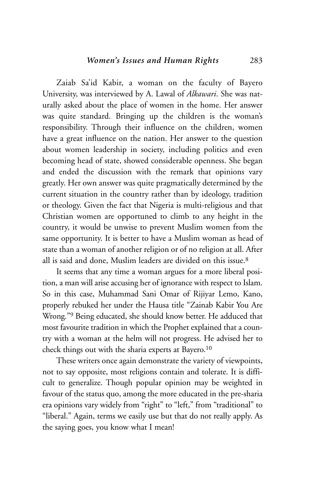Zaiab Sa'id Kabir, a woman on the faculty of Bayero University, was interviewed by A. Lawal of *Alkawari*. She was naturally asked about the place of women in the home. Her answer was quite standard. Bringing up the children is the woman's responsibility. Through their influence on the children, women have a great influence on the nation. Her answer to the question about women leadership in society, including politics and even becoming head of state, showed considerable openness. She began and ended the discussion with the remark that opinions vary greatly. Her own answer was quite pragmatically determined by the current situation in the country rather than by ideology, tradition or theology. Given the fact that Nigeria is multi-religious and that Christian women are opportuned to climb to any height in the country, it would be unwise to prevent Muslim women from the same opportunity. It is better to have a Muslim woman as head of state than a woman of another religion or of no religion at all. After all is said and done, Muslim leaders are divided on this issue.<sup>8</sup>

It seems that any time a woman argues for a more liberal position, a man will arise accusing her of ignorance with respect to Islam. So in this case, Muhammad Sani Omar of Rijiyar Lemo, Kano, properly rebuked her under the Hausa title "Zainab Kabir You Are Wrong."9 Being educated, she should know better. He adduced that most favourite tradition in which the Prophet explained that a country with a woman at the helm will not progress. He advised her to check things out with the sharia experts at Bayero.10

These writers once again demonstrate the variety of viewpoints, not to say opposite, most religions contain and tolerate. It is difficult to generalize. Though popular opinion may be weighted in favour of the status quo, among the more educated in the pre-sharia era opinions vary widely from "right" to "left," from "traditional" to "liberal." Again, terms we easily use but that do not really apply. As the saying goes, you know what I mean!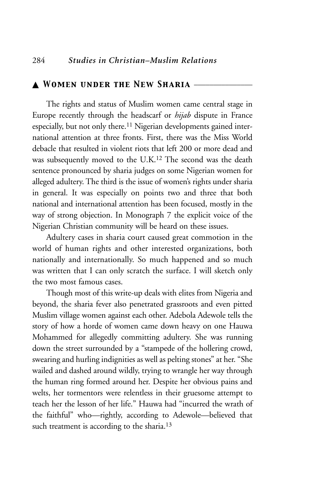## ▲ *Women under the New Sharia* \_\_\_\_\_\_\_\_\_\_\_\_\_\_\_

The rights and status of Muslim women came central stage in Europe recently through the headscarf or *hijab* dispute in France especially, but not only there.11 Nigerian developments gained international attention at three fronts. First, there was the Miss World debacle that resulted in violent riots that left 200 or more dead and was subsequently moved to the U.K.12 The second was the death sentence pronounced by sharia judges on some Nigerian women for alleged adultery. The third is the issue of women's rights under sharia in general. It was especially on points two and three that both national and international attention has been focused, mostly in the way of strong objection. In Monograph 7 the explicit voice of the Nigerian Christian community will be heard on these issues.

Adultery cases in sharia court caused great commotion in the world of human rights and other interested organizations, both nationally and internationally. So much happened and so much was written that I can only scratch the surface. I will sketch only the two most famous cases.

Though most of this write-up deals with elites from Nigeria and beyond, the sharia fever also penetrated grassroots and even pitted Muslim village women against each other. Adebola Adewole tells the story of how a horde of women came down heavy on one Hauwa Mohammed for allegedly committing adultery. She was running down the street surrounded by a "stampede of the hollering crowd, swearing and hurling indignities as well as pelting stones" at her. "She wailed and dashed around wildly, trying to wrangle her way through the human ring formed around her. Despite her obvious pains and welts, her tormentors were relentless in their gruesome attempt to teach her the lesson of her life." Hauwa had "incurred the wrath of the faithful" who—rightly, according to Adewole—believed that such treatment is according to the sharia.<sup>13</sup>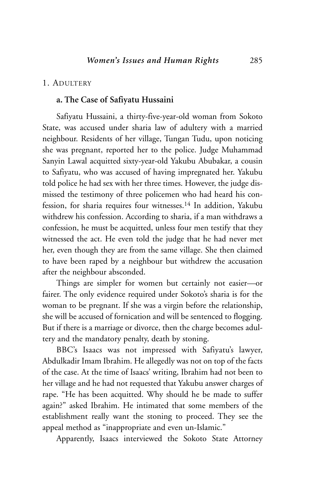#### 1. ADULTERY

## **a. The Case of Safiyatu Hussaini**

Safiyatu Hussaini, a thirty-five-year-old woman from Sokoto State, was accused under sharia law of adultery with a married neighbour. Residents of her village, Tungan Tudu, upon noticing she was pregnant, reported her to the police. Judge Muhammad Sanyin Lawal acquitted sixty-year-old Yakubu Abubakar, a cousin to Safiyatu, who was accused of having impregnated her. Yakubu told police he had sex with her three times. However, the judge dismissed the testimony of three policemen who had heard his confession, for sharia requires four witnesses.14 In addition, Yakubu withdrew his confession. According to sharia, if a man withdraws a confession, he must be acquitted, unless four men testify that they witnessed the act. He even told the judge that he had never met her, even though they are from the same village. She then claimed to have been raped by a neighbour but withdrew the accusation after the neighbour absconded.

Things are simpler for women but certainly not easier—or fairer. The only evidence required under Sokoto's sharia is for the woman to be pregnant. If she was a virgin before the relationship, she will be accused of fornication and will be sentenced to flogging. But if there is a marriage or divorce, then the charge becomes adultery and the mandatory penalty, death by stoning.

BBC's Isaacs was not impressed with Safiyatu's lawyer, Abdulkadir Imam Ibrahim. He allegedly was not on top of the facts of the case. At the time of Isaacs' writing, Ibrahim had not been to her village and he had not requested that Yakubu answer charges of rape. "He has been acquitted. Why should he be made to suffer again?" asked Ibrahim. He intimated that some members of the establishment really want the stoning to proceed. They see the appeal method as "inappropriate and even un-Islamic."

Apparently, Isaacs interviewed the Sokoto State Attorney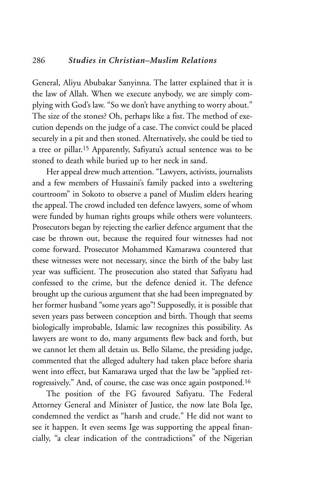General, Aliyu Abubakar Sanyinna. The latter explained that it is the law of Allah. When we execute anybody, we are simply complying with God's law. "So we don't have anything to worry about." The size of the stones? Oh, perhaps like a fist. The method of execution depends on the judge of a case. The convict could be placed securely in a pit and then stoned. Alternatively, she could be tied to a tree or pillar.15 Apparently, Safiyatu's actual sentence was to be stoned to death while buried up to her neck in sand.

Her appeal drew much attention. "Lawyers, activists, journalists and a few members of Hussaini's family packed into a sweltering courtroom" in Sokoto to observe a panel of Muslim elders hearing the appeal. The crowd included ten defence lawyers, some of whom were funded by human rights groups while others were volunteers. Prosecutors began by rejecting the earlier defence argument that the case be thrown out, because the required four witnesses had not come forward. Prosecutor Mohammed Kamarawa countered that these witnesses were not necessary, since the birth of the baby last year was sufficient. The prosecution also stated that Safiyatu had confessed to the crime, but the defence denied it. The defence brought up the curious argument that she had been impregnated by her former husband "some years ago"! Supposedly, it is possible that seven years pass between conception and birth. Though that seems biologically improbable, Islamic law recognizes this possibility. As lawyers are wont to do, many arguments flew back and forth, but we cannot let them all detain us. Bello Silame, the presiding judge, commented that the alleged adultery had taken place before sharia went into effect, but Kamarawa urged that the law be "applied retrogressively." And, of course, the case was once again postponed.16

The position of the FG favoured Safiyatu. The Federal Attorney General and Minister of Justice, the now late Bola Ige, condemned the verdict as "harsh and crude." He did not want to see it happen. It even seems Ige was supporting the appeal financially, "a clear indication of the contradictions" of the Nigerian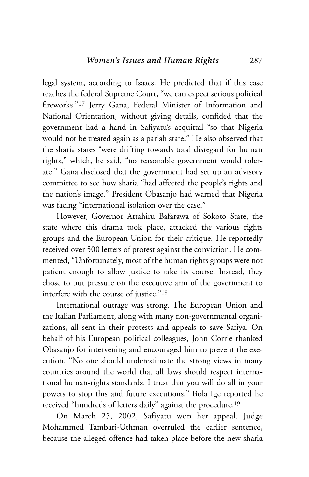legal system, according to Isaacs. He predicted that if this case reaches the federal Supreme Court, "we can expect serious political fireworks."17 Jerry Gana, Federal Minister of Information and National Orientation, without giving details, confided that the government had a hand in Safiyatu's acquittal "so that Nigeria would not be treated again as a pariah state." He also observed that the sharia states "were drifting towards total disregard for human rights," which, he said, "no reasonable government would tolerate." Gana disclosed that the government had set up an advisory committee to see how sharia "had affected the people's rights and the nation's image." President Obasanjo had warned that Nigeria was facing "international isolation over the case."

However, Governor Attahiru Bafarawa of Sokoto State, the state where this drama took place, attacked the various rights groups and the European Union for their critique. He reportedly received over 500 letters of protest against the conviction. He commented, "Unfortunately, most of the human rights groups were not patient enough to allow justice to take its course. Instead, they chose to put pressure on the executive arm of the government to interfere with the course of justice."18

International outrage was strong. The European Union and the Italian Parliament, along with many non-governmental organizations, all sent in their protests and appeals to save Safiya. On behalf of his European political colleagues, John Corrie thanked Obasanjo for intervening and encouraged him to prevent the execution. "No one should underestimate the strong views in many countries around the world that all laws should respect international human-rights standards. I trust that you will do all in your powers to stop this and future executions." Bola Ige reported he received "hundreds of letters daily" against the procedure.19

On March 25, 2002, Safiyatu won her appeal. Judge Mohammed Tambari-Uthman overruled the earlier sentence, because the alleged offence had taken place before the new sharia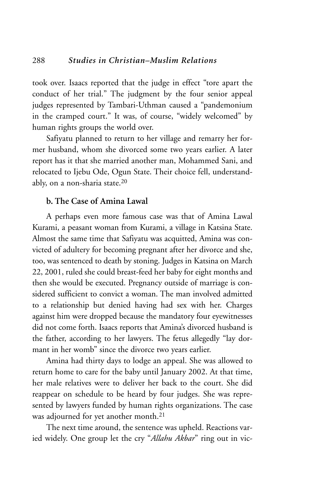took over. Isaacs reported that the judge in effect "tore apart the conduct of her trial." The judgment by the four senior appeal judges represented by Tambari-Uthman caused a "pandemonium in the cramped court." It was, of course, "widely welcomed" by human rights groups the world over.

Safiyatu planned to return to her village and remarry her former husband, whom she divorced some two years earlier. A later report has it that she married another man, Mohammed Sani, and relocated to Ijebu Ode, Ogun State. Their choice fell, understandably, on a non-sharia state.20

## **b. The Case of Amina Lawal**

A perhaps even more famous case was that of Amina Lawal Kurami, a peasant woman from Kurami, a village in Katsina State. Almost the same time that Safiyatu was acquitted, Amina was convicted of adultery for becoming pregnant after her divorce and she, too, was sentenced to death by stoning. Judges in Katsina on March 22, 2001, ruled she could breast-feed her baby for eight months and then she would be executed. Pregnancy outside of marriage is considered sufficient to convict a woman. The man involved admitted to a relationship but denied having had sex with her. Charges against him were dropped because the mandatory four eyewitnesses did not come forth. Isaacs reports that Amina's divorced husband is the father, according to her lawyers. The fetus allegedly "lay dormant in her womb" since the divorce two years earlier.

Amina had thirty days to lodge an appeal. She was allowed to return home to care for the baby until January 2002. At that time, her male relatives were to deliver her back to the court. She did reappear on schedule to be heard by four judges. She was represented by lawyers funded by human rights organizations. The case was adjourned for yet another month.21

The next time around, the sentence was upheld. Reactions varied widely. One group let the cry "*Allahu Akbar*" ring out in vic-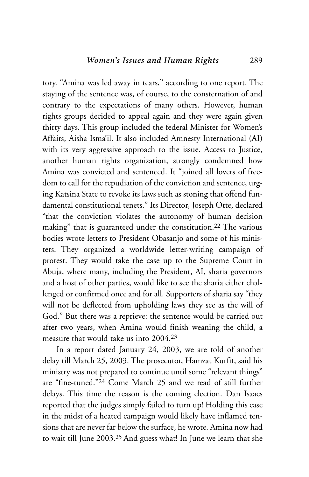tory. "Amina was led away in tears," according to one report. The staying of the sentence was, of course, to the consternation of and contrary to the expectations of many others. However, human rights groups decided to appeal again and they were again given thirty days. This group included the federal Minister for Women's Affairs, Aisha Isma'il. It also included Amnesty International (AI) with its very aggressive approach to the issue. Access to Justice, another human rights organization, strongly condemned how Amina was convicted and sentenced. It "joined all lovers of freedom to call for the repudiation of the conviction and sentence, urging Katsina State to revoke its laws such as stoning that offend fundamental constitutional tenets." Its Director, Joseph Otte, declared "that the conviction violates the autonomy of human decision making" that is guaranteed under the constitution.22 The various bodies wrote letters to President Obasanjo and some of his ministers. They organized a worldwide letter-writing campaign of protest. They would take the case up to the Supreme Court in Abuja, where many, including the President, AI, sharia governors and a host of other parties, would like to see the sharia either challenged or confirmed once and for all. Supporters of sharia say "they will not be deflected from upholding laws they see as the will of God." But there was a reprieve: the sentence would be carried out after two years, when Amina would finish weaning the child, a measure that would take us into 2004.23

In a report dated January 24, 2003, we are told of another delay till March 25, 2003. The prosecutor, Hamzat Kurfit, said his ministry was not prepared to continue until some "relevant things" are "fine-tuned."24 Come March 25 and we read of still further delays. This time the reason is the coming election. Dan Isaacs reported that the judges simply failed to turn up! Holding this case in the midst of a heated campaign would likely have inflamed tensions that are never far below the surface, he wrote. Amina now had to wait till June 2003.25 And guess what! In June we learn that she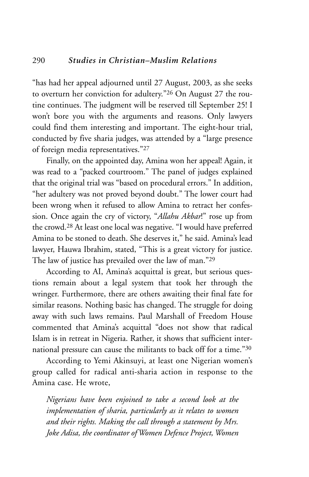"has had her appeal adjourned until 27 August, 2003, as she seeks to overturn her conviction for adultery."26 On August 27 the routine continues. The judgment will be reserved till September 25! I won't bore you with the arguments and reasons. Only lawyers could find them interesting and important. The eight-hour trial, conducted by five sharia judges, was attended by a "large presence of foreign media representatives."27

Finally, on the appointed day, Amina won her appeal! Again, it was read to a "packed courtroom." The panel of judges explained that the original trial was "based on procedural errors." In addition, "her adultery was not proved beyond doubt." The lower court had been wrong when it refused to allow Amina to retract her confession. Once again the cry of victory, "*Allahu Akbar*!" rose up from the crowd.28 At least one local was negative. "I would have preferred Amina to be stoned to death. She deserves it," he said. Amina's lead lawyer, Hauwa Ibrahim, stated, "This is a great victory for justice. The law of justice has prevailed over the law of man."29

According to AI, Amina's acquittal is great, but serious questions remain about a legal system that took her through the wringer. Furthermore, there are others awaiting their final fate for similar reasons. Nothing basic has changed. The struggle for doing away with such laws remains. Paul Marshall of Freedom House commented that Amina's acquittal "does not show that radical Islam is in retreat in Nigeria. Rather, it shows that sufficient international pressure can cause the militants to back off for a time."30

According to Yemi Akinsuyi, at least one Nigerian women's group called for radical anti-sharia action in response to the Amina case. He wrote,

*Nigerians have been enjoined to take a second look at the implementation of sharia, particularly as it relates to women and their rights. Making the call through a statement by Mrs. Joke Adisa, the coordinator of Women Defence Project, Women*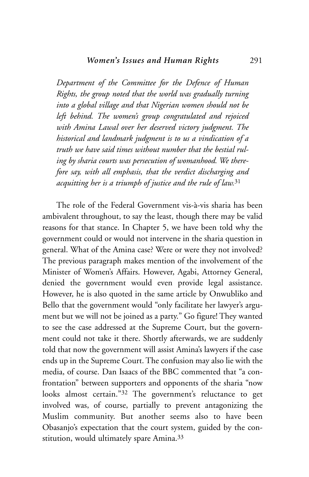*Department of the Committee for the Defence of Human Rights, the group noted that the world was gradually turning into a global village and that Nigerian women should not be left behind. The women's group congratulated and rejoiced with Amina Lawal over her deserved victory judgment. The historical and landmark judgment is to us a vindication of a truth we have said times without number that the bestial ruling by sharia courts was persecution of womanhood. We therefore say, with all emphasis, that the verdict discharging and acquitting her is a triumph of justice and the rule of law.*<sup>31</sup>

The role of the Federal Government vis-à-vis sharia has been ambivalent throughout, to say the least, though there may be valid reasons for that stance. In Chapter 5, we have been told why the government could or would not intervene in the sharia question in general. What of the Amina case? Were or were they not involved? The previous paragraph makes mention of the involvement of the Minister of Women's Affairs. However, Agabi, Attorney General, denied the government would even provide legal assistance. However, he is also quoted in the same article by Onwubliko and Bello that the government would "only facilitate her lawyer's argument but we will not be joined as a party." Go figure! They wanted to see the case addressed at the Supreme Court, but the government could not take it there. Shortly afterwards, we are suddenly told that now the government will assist Amina's lawyers if the case ends up in the Supreme Court. The confusion may also lie with the media, of course. Dan Isaacs of the BBC commented that "a confrontation" between supporters and opponents of the sharia "now looks almost certain."32 The government's reluctance to get involved was, of course, partially to prevent antagonizing the Muslim community. But another seems also to have been Obasanjo's expectation that the court system, guided by the constitution, would ultimately spare Amina.<sup>33</sup>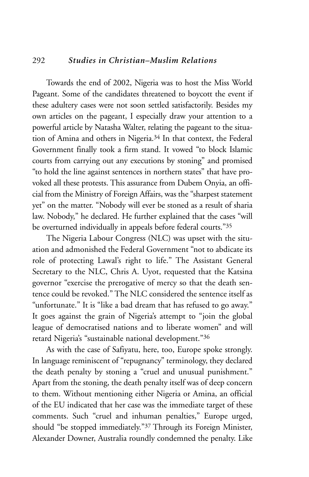## 292 *Studies in Christian–Muslim Relations*

Towards the end of 2002, Nigeria was to host the Miss World Pageant. Some of the candidates threatened to boycott the event if these adultery cases were not soon settled satisfactorily. Besides my own articles on the pageant, I especially draw your attention to a powerful article by Natasha Walter, relating the pageant to the situation of Amina and others in Nigeria.34 In that context, the Federal Government finally took a firm stand. It vowed "to block Islamic courts from carrying out any executions by stoning" and promised "to hold the line against sentences in northern states" that have provoked all these protests. This assurance from Dubem Onyia, an official from the Ministry of Foreign Affairs, was the "sharpest statement yet" on the matter. "Nobody will ever be stoned as a result of sharia law. Nobody," he declared. He further explained that the cases "will be overturned individually in appeals before federal courts."35

The Nigeria Labour Congress (NLC) was upset with the situation and admonished the Federal Government "not to abdicate its role of protecting Lawal's right to life." The Assistant General Secretary to the NLC, Chris A. Uyot, requested that the Katsina governor "exercise the prerogative of mercy so that the death sentence could be revoked." The NLC considered the sentence itself as "unfortunate." It is "like a bad dream that has refused to go away." It goes against the grain of Nigeria's attempt to "join the global league of democratised nations and to liberate women" and will retard Nigeria's "sustainable national development."36

As with the case of Safiyatu, here, too, Europe spoke strongly. In language reminiscent of "repugnancy" terminology, they declared the death penalty by stoning a "cruel and unusual punishment." Apart from the stoning, the death penalty itself was of deep concern to them. Without mentioning either Nigeria or Amina, an official of the EU indicated that her case was the immediate target of these comments. Such "cruel and inhuman penalties," Europe urged, should "be stopped immediately."37 Through its Foreign Minister, Alexander Downer, Australia roundly condemned the penalty. Like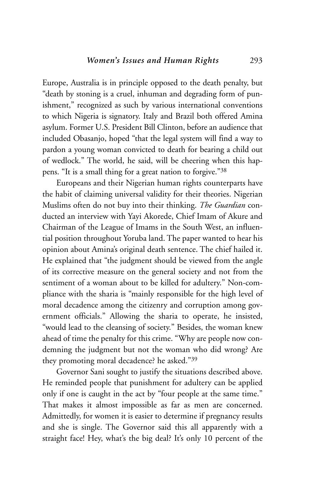Europe, Australia is in principle opposed to the death penalty, but "death by stoning is a cruel, inhuman and degrading form of punishment," recognized as such by various international conventions to which Nigeria is signatory. Italy and Brazil both offered Amina asylum. Former U.S. President Bill Clinton, before an audience that included Obasanjo, hoped "that the legal system will find a way to pardon a young woman convicted to death for bearing a child out of wedlock." The world, he said, will be cheering when this happens. "It is a small thing for a great nation to forgive."38

Europeans and their Nigerian human rights counterparts have the habit of claiming universal validity for their theories. Nigerian Muslims often do not buy into their thinking. *The Guardian* conducted an interview with Yayi Akorede, Chief Imam of Akure and Chairman of the League of Imams in the South West, an influential position throughout Yoruba land. The paper wanted to hear his opinion about Amina's original death sentence. The chief hailed it. He explained that "the judgment should be viewed from the angle of its corrective measure on the general society and not from the sentiment of a woman about to be killed for adultery." Non-compliance with the sharia is "mainly responsible for the high level of moral decadence among the citizenry and corruption among government officials." Allowing the sharia to operate, he insisted, "would lead to the cleansing of society." Besides, the woman knew ahead of time the penalty for this crime. "Why are people now condemning the judgment but not the woman who did wrong? Are they promoting moral decadence? he asked."39

Governor Sani sought to justify the situations described above. He reminded people that punishment for adultery can be applied only if one is caught in the act by "four people at the same time." That makes it almost impossible as far as men are concerned. Admittedly, for women it is easier to determine if pregnancy results and she is single. The Governor said this all apparently with a straight face! Hey, what's the big deal? It's only 10 percent of the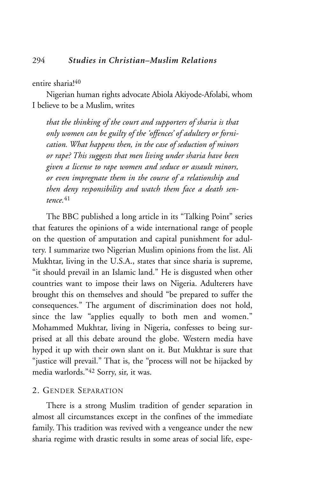#### entire sharia!<sup>40</sup>

Nigerian human rights advocate Abiola Akiyode-Afolabi, whom I believe to be a Muslim, writes

*that the thinking of the court and supporters of sharia is that only women can be guilty of the 'offences' of adultery or fornication. What happens then, in the case of seduction of minors or rape? This suggests that men living under sharia have been given a license to rape women and seduce or assault minors, or even impregnate them in the course of a relationship and then deny responsibility and watch them face a death sentence.*<sup>41</sup>

The BBC published a long article in its "Talking Point" series that features the opinions of a wide international range of people on the question of amputation and capital punishment for adultery. I summarize two Nigerian Muslim opinions from the list. Ali Mukhtar, living in the U.S.A., states that since sharia is supreme, "it should prevail in an Islamic land." He is disgusted when other countries want to impose their laws on Nigeria. Adulterers have brought this on themselves and should "be prepared to suffer the consequences." The argument of discrimination does not hold, since the law "applies equally to both men and women." Mohammed Mukhtar, living in Nigeria, confesses to being surprised at all this debate around the globe. Western media have hyped it up with their own slant on it. But Mukhtar is sure that "justice will prevail." That is, the "process will not be hijacked by media warlords."42 Sorry, sir, it was.

#### 2. GENDER SEPARATION

There is a strong Muslim tradition of gender separation in almost all circumstances except in the confines of the immediate family. This tradition was revived with a vengeance under the new sharia regime with drastic results in some areas of social life, espe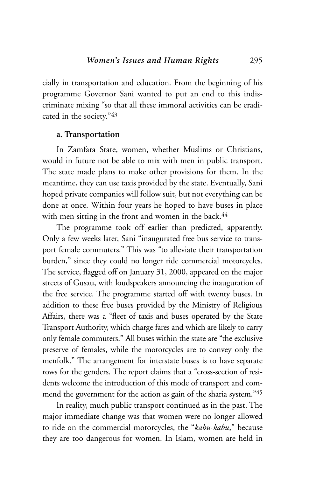cially in transportation and education. From the beginning of his programme Governor Sani wanted to put an end to this indiscriminate mixing "so that all these immoral activities can be eradicated in the society."43

## **a. Transportation**

In Zamfara State, women, whether Muslims or Christians, would in future not be able to mix with men in public transport. The state made plans to make other provisions for them. In the meantime, they can use taxis provided by the state. Eventually, Sani hoped private companies will follow suit, but not everything can be done at once. Within four years he hoped to have buses in place with men sitting in the front and women in the back.<sup>44</sup>

The programme took off earlier than predicted, apparently. Only a few weeks later, Sani "inaugurated free bus service to transport female commuters." This was "to alleviate their transportation burden," since they could no longer ride commercial motorcycles. The service, flagged off on January 31, 2000, appeared on the major streets of Gusau, with loudspeakers announcing the inauguration of the free service. The programme started off with twenty buses. In addition to these free buses provided by the Ministry of Religious Affairs, there was a "fleet of taxis and buses operated by the State Transport Authority, which charge fares and which are likely to carry only female commuters." All buses within the state are "the exclusive preserve of females, while the motorcycles are to convey only the menfolk." The arrangement for interstate buses is to have separate rows for the genders. The report claims that a "cross-section of residents welcome the introduction of this mode of transport and commend the government for the action as gain of the sharia system."45

In reality, much public transport continued as in the past. The major immediate change was that women were no longer allowed to ride on the commercial motorcycles, the "*kabu-kabu*," because they are too dangerous for women. In Islam, women are held in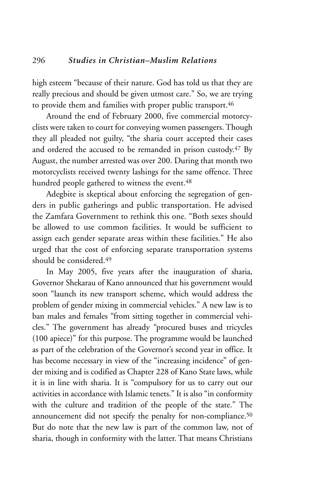high esteem "because of their nature. God has told us that they are really precious and should be given utmost care." So, we are trying to provide them and families with proper public transport.<sup>46</sup>

Around the end of February 2000, five commercial motorcyclists were taken to court for conveying women passengers. Though they all pleaded not guilty, "the sharia court accepted their cases and ordered the accused to be remanded in prison custody.<sup>47</sup> By August, the number arrested was over 200. During that month two motorcyclists received twenty lashings for the same offence. Three hundred people gathered to witness the event.<sup>48</sup>

Adegbite is skeptical about enforcing the segregation of genders in public gatherings and public transportation. He advised the Zamfara Government to rethink this one. "Both sexes should be allowed to use common facilities. It would be sufficient to assign each gender separate areas within these facilities." He also urged that the cost of enforcing separate transportation systems should be considered.49

In May 2005, five years after the inauguration of sharia, Governor Shekarau of Kano announced that his government would soon "launch its new transport scheme, which would address the problem of gender mixing in commercial vehicles." A new law is to ban males and females "from sitting together in commercial vehicles." The government has already "procured buses and tricycles (100 apiece)" for this purpose. The programme would be launched as part of the celebration of the Governor's second year in office. It has become necessary in view of the "increasing incidence" of gender mixing and is codified as Chapter 228 of Kano State laws, while it is in line with sharia. It is "compulsory for us to carry out our activities in accordance with Islamic tenets." It is also "in conformity with the culture and tradition of the people of the state." The announcement did not specify the penalty for non-compliance.<sup>50</sup> But do note that the new law is part of the common law, not of sharia, though in conformity with the latter. That means Christians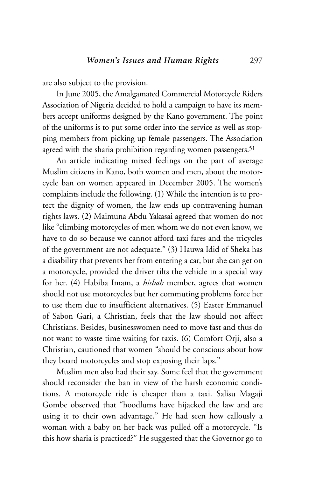are also subject to the provision.

In June 2005, the Amalgamated Commercial Motorcycle Riders Association of Nigeria decided to hold a campaign to have its members accept uniforms designed by the Kano government. The point of the uniforms is to put some order into the service as well as stopping members from picking up female passengers. The Association agreed with the sharia prohibition regarding women passengers.<sup>51</sup>

An article indicating mixed feelings on the part of average Muslim citizens in Kano, both women and men, about the motorcycle ban on women appeared in December 2005. The women's complaints include the following. (1) While the intention is to protect the dignity of women, the law ends up contravening human rights laws. (2) Maimuna Abdu Yakasai agreed that women do not like "climbing motorcycles of men whom we do not even know, we have to do so because we cannot afford taxi fares and the tricycles of the government are not adequate." (3) Hauwa Idid of Sheka has a disability that prevents her from entering a car, but she can get on a motorcycle, provided the driver tilts the vehicle in a special way for her. (4) Habiba Imam, a *hisbah* member, agrees that women should not use motorcycles but her commuting problems force her to use them due to insufficient alternatives. (5) Easter Emmanuel of Sabon Gari, a Christian, feels that the law should not affect Christians. Besides, businesswomen need to move fast and thus do not want to waste time waiting for taxis. (6) Comfort Orji, also a Christian, cautioned that women "should be conscious about how they board motorcycles and stop exposing their laps."

Muslim men also had their say. Some feel that the government should reconsider the ban in view of the harsh economic conditions. A motorcycle ride is cheaper than a taxi. Salisu Magaji Gombe observed that "hoodlums have hijacked the law and are using it to their own advantage." He had seen how callously a woman with a baby on her back was pulled off a motorcycle. "Is this how sharia is practiced?" He suggested that the Governor go to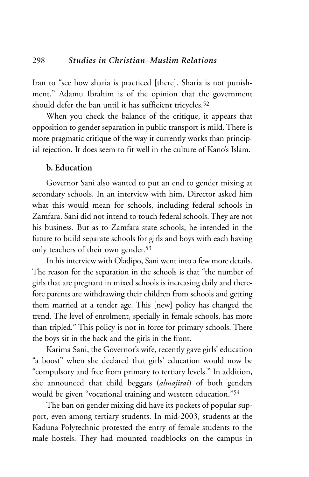Iran to "see how sharia is practiced [there]. Sharia is not punishment." Adamu Ibrahim is of the opinion that the government should defer the ban until it has sufficient tricycles.<sup>52</sup>

When you check the balance of the critique, it appears that opposition to gender separation in public transport is mild. There is more pragmatic critique of the way it currently works than principial rejection. It does seem to fit well in the culture of Kano's Islam.

## **b. Education**

Governor Sani also wanted to put an end to gender mixing at secondary schools. In an interview with him, Director asked him what this would mean for schools, including federal schools in Zamfara. Sani did not intend to touch federal schools. They are not his business. But as to Zamfara state schools, he intended in the future to build separate schools for girls and boys with each having only teachers of their own gender.<sup>53</sup>

In his interview with Oladipo, Sani went into a few more details. The reason for the separation in the schools is that "the number of girls that are pregnant in mixed schools is increasing daily and therefore parents are withdrawing their children from schools and getting them married at a tender age. This [new] policy has changed the trend. The level of enrolment, specially in female schools, has more than tripled." This policy is not in force for primary schools. There the boys sit in the back and the girls in the front.

Karima Sani, the Governor's wife, recently gave girls' education "a boost" when she declared that girls' education would now be "compulsory and free from primary to tertiary levels." In addition, she announced that child beggars (*almajirai*) of both genders would be given "vocational training and western education."54

The ban on gender mixing did have its pockets of popular support, even among tertiary students. In mid-2003, students at the Kaduna Polytechnic protested the entry of female students to the male hostels. They had mounted roadblocks on the campus in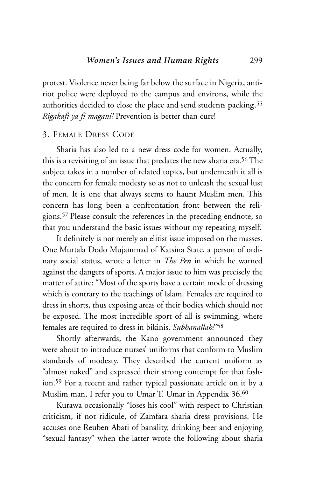protest. Violence never being far below the surface in Nigeria, antiriot police were deployed to the campus and environs, while the authorities decided to close the place and send students packing.55 *Rigakafi ya fi magani!* Prevention is better than cure!

#### 3. FEMALE DRESS CODE

Sharia has also led to a new dress code for women. Actually, this is a revisiting of an issue that predates the new sharia era.56 The subject takes in a number of related topics, but underneath it all is the concern for female modesty so as not to unleash the sexual lust of men. It is one that always seems to haunt Muslim men. This concern has long been a confrontation front between the religions.57 Please consult the references in the preceding endnote, so that you understand the basic issues without my repeating myself.

It definitely is not merely an elitist issue imposed on the masses. One Murtala Dodo Mujammad of Katsina State, a person of ordinary social status, wrote a letter in *The Pen* in which he warned against the dangers of sports. A major issue to him was precisely the matter of attire: "Most of the sports have a certain mode of dressing which is contrary to the teachings of Islam. Females are required to dress in shorts, thus exposing areas of their bodies which should not be exposed. The most incredible sport of all is swimming, where females are required to dress in bikinis. *Subhanallah!"*<sup>58</sup>

Shortly afterwards, the Kano government announced they were about to introduce nurses' uniforms that conform to Muslim standards of modesty. They described the current uniform as "almost naked" and expressed their strong contempt for that fashion.59 For a recent and rather typical passionate article on it by a Muslim man, I refer you to Umar T. Umar in Appendix 36.60

Kurawa occasionally "loses his cool" with respect to Christian criticism, if not ridicule, of Zamfara sharia dress provisions. He accuses one Reuben Abati of banality, drinking beer and enjoying "sexual fantasy" when the latter wrote the following about sharia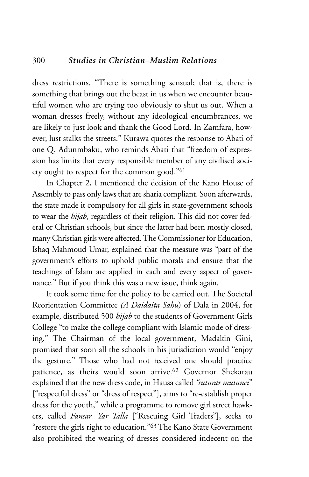dress restrictions. "There is something sensual; that is, there is something that brings out the beast in us when we encounter beautiful women who are trying too obviously to shut us out. When a woman dresses freely, without any ideological encumbrances, we are likely to just look and thank the Good Lord. In Zamfara, however, lust stalks the streets." Kurawa quotes the response to Abati of one Q. Adunmbaku, who reminds Abati that "freedom of expression has limits that every responsible member of any civilised society ought to respect for the common good."61

In Chapter 2, I mentioned the decision of the Kano House of Assembly to pass only laws that are sharia compliant. Soon afterwards, the state made it compulsory for all girls in state-government schools to wear the *hijab*, regardless of their religion. This did not cover federal or Christian schools, but since the latter had been mostly closed, many Christian girls were affected. The Commissioner for Education, Ishaq Mahmoud Umar, explained that the measure was "part of the government's efforts to uphold public morals and ensure that the teachings of Islam are applied in each and every aspect of governance." But if you think this was a new issue, think again.

It took some time for the policy to be carried out. The Societal Reorientation Committee *(A Daidaita Sahu*) of Dala in 2004, for example, distributed 500 *hijab* to the students of Government Girls College "to make the college compliant with Islamic mode of dressing." The Chairman of the local government, Madakin Gini, promised that soon all the schools in his jurisdiction would "enjoy the gesture." Those who had not received one should practice patience, as theirs would soon arrive.62 Governor Shekarau explained that the new dress code, in Hausa called *"suturar mutunci*" ["respectful dress" or "dress of respect"], aims to "re-establish proper dress for the youth," while a programme to remove girl street hawkers, called *Fansar 'Yar Talla* ["Rescuing Girl Traders"], seeks to "restore the girls right to education."63 The Kano State Government also prohibited the wearing of dresses considered indecent on the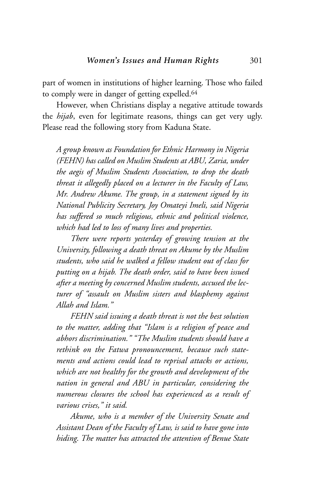part of women in institutions of higher learning. Those who failed to comply were in danger of getting expelled.64

However, when Christians display a negative attitude towards the *hijab*, even for legitimate reasons, things can get very ugly. Please read the following story from Kaduna State.

*A group known as Foundation for Ethnic Harmony in Nigeria (FEHN) has called on Muslim Students at ABU, Zaria, under the aegis of Muslim Students Association, to drop the death threat it allegedly placed on a lecturer in the Faculty of Law, Mr. Andrew Akume. The group, in a statement signed by its National Publicity Secretary, Joy Omateyi Imeli, said Nigeria has suffered so much religious, ethnic and political violence, which had led to loss of many lives and properties.* 

*There were reports yesterday of growing tension at the University, following a death threat on Akume by the Muslim students, who said he walked a fellow student out of class for putting on a hijab. The death order, said to have been issued after a meeting by concerned Muslim students, accused the lecturer of "assault on Muslim sisters and blasphemy against Allah and Islam."*

*FEHN said issuing a death threat is not the best solution to the matter, adding that "Islam is a religion of peace and abhors discrimination." "The Muslim students should have a rethink on the Fatwa pronouncement, because such statements and actions could lead to reprisal attacks or actions, which are not healthy for the growth and development of the nation in general and ABU in particular, considering the numerous closures the school has experienced as a result of various crises," it said.*

*Akume, who is a member of the University Senate and Assistant Dean of the Faculty of Law, is said to have gone into hiding. The matter has attracted the attention of Benue State*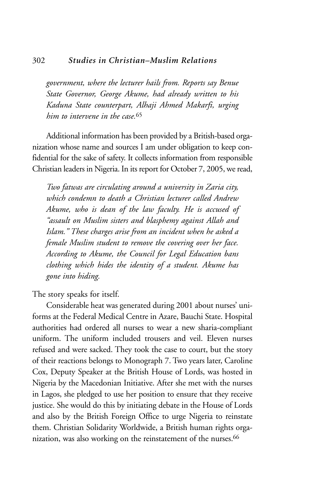#### 302 *Studies in Christian–Muslim Relations*

*government, where the lecturer hails from. Reports say Benue State Governor, George Akume, had already written to his Kaduna State counterpart, Alhaji Ahmed Makarfi, urging him to intervene in the case.*<sup>65</sup>

Additional information has been provided by a British-based organization whose name and sources I am under obligation to keep confidential for the sake of safety. It collects information from responsible Christian leaders in Nigeria. In its report for October 7, 2005, we read,

*Two fatwas are circulating around a university in Zaria city, which condemn to death a Christian lecturer called Andrew Akume, who is dean of the law faculty. He is accused of "assault on Muslim sisters and blasphemy against Allah and Islam." These charges arise from an incident when he asked a female Muslim student to remove the covering over her face. According to Akume, the Council for Legal Education bans clothing which hides the identity of a student. Akume has gone into hiding.*

The story speaks for itself.

Considerable heat was generated during 2001 about nurses' uniforms at the Federal Medical Centre in Azare, Bauchi State. Hospital authorities had ordered all nurses to wear a new sharia-compliant uniform. The uniform included trousers and veil. Eleven nurses refused and were sacked. They took the case to court, but the story of their reactions belongs to Monograph 7. Two years later, Caroline Cox, Deputy Speaker at the British House of Lords, was hosted in Nigeria by the Macedonian Initiative. After she met with the nurses in Lagos, she pledged to use her position to ensure that they receive justice. She would do this by initiating debate in the House of Lords and also by the British Foreign Office to urge Nigeria to reinstate them. Christian Solidarity Worldwide, a British human rights organization, was also working on the reinstatement of the nurses.<sup>66</sup>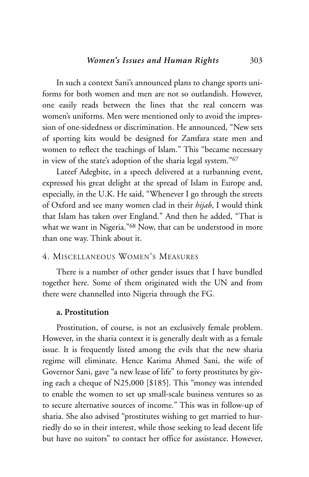In such a context Sani's announced plans to change sports uniforms for both women and men are not so outlandish. However, one easily reads between the lines that the real concern was women's uniforms. Men were mentioned only to avoid the impression of one-sidedness or discrimination. He announced, "New sets of sporting kits would be designed for Zamfara state men and women to reflect the teachings of Islam." This "became necessary in view of the state's adoption of the sharia legal system."67

Lateef Adegbite, in a speech delivered at a turbanning event, expressed his great delight at the spread of Islam in Europe and, especially, in the U.K. He said, "Whenever I go through the streets of Oxford and see many women clad in their *hijab*, I would think that Islam has taken over England." And then he added, "That is what we want in Nigeria."<sup>68</sup> Now, that can be understood in more than one way. Think about it.

## 4. MISCELLANEOUS WOMEN'S MEASURES

There is a number of other gender issues that I have bundled together here. Some of them originated with the UN and from there were channelled into Nigeria through the FG.

#### **a. Prostitution**

Prostitution, of course, is not an exclusively female problem. However, in the sharia context it is generally dealt with as a female issue. It is frequently listed among the evils that the new sharia regime will eliminate. Hence Karima Ahmed Sani, the wife of Governor Sani, gave "a new lease of life" to forty prostitutes by giving each a cheque of N25,000 [\$185]. This "money was intended to enable the women to set up small-scale business ventures so as to secure alternative sources of income." This was in follow-up of sharia. She also advised "prostitutes wishing to get married to hurriedly do so in their interest, while those seeking to lead decent life but have no suitors" to contact her office for assistance. However,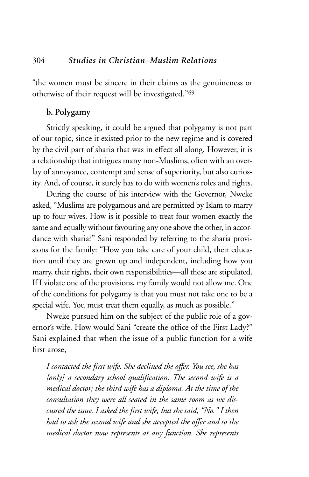"the women must be sincere in their claims as the genuineness or otherwise of their request will be investigated."69

## **b. Polygamy**

Strictly speaking, it could be argued that polygamy is not part of our topic, since it existed prior to the new regime and is covered by the civil part of sharia that was in effect all along. However, it is a relationship that intrigues many non-Muslims, often with an overlay of annoyance, contempt and sense of superiority, but also curiosity. And, of course, it surely has to do with women's roles and rights.

During the course of his interview with the Governor, Nweke asked, "Muslims are polygamous and are permitted by Islam to marry up to four wives. How is it possible to treat four women exactly the same and equally without favouring any one above the other, in accordance with sharia?" Sani responded by referring to the sharia provisions for the family: "How you take care of your child, their education until they are grown up and independent, including how you marry, their rights, their own responsibilities—all these are stipulated. If I violate one of the provisions, my family would not allow me. One of the conditions for polygamy is that you must not take one to be a special wife. You must treat them equally, as much as possible."

Nweke pursued him on the subject of the public role of a governor's wife. How would Sani "create the office of the First Lady?" Sani explained that when the issue of a public function for a wife first arose,

*I contacted the first wife. She declined the offer. You see, she has [only] a secondary school qualification. The second wife is a medical doctor; the third wife has a diploma. At the time of the consultation they were all seated in the same room as we discussed the issue. I asked the first wife, but she said, "No." I then had to ask the second wife and she accepted the offer and so the medical doctor now represents at any function. She represents*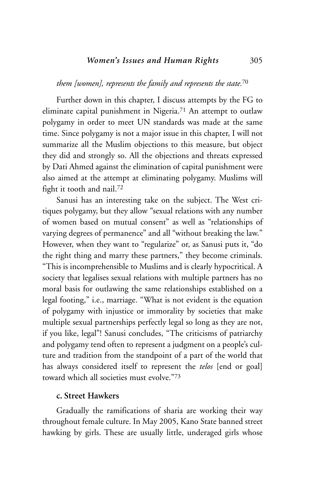## *them [women], represents the family and represents the state.*<sup>70</sup>

Further down in this chapter, I discuss attempts by the FG to eliminate capital punishment in Nigeria.<sup>71</sup> An attempt to outlaw polygamy in order to meet UN standards was made at the same time. Since polygamy is not a major issue in this chapter, I will not summarize all the Muslim objections to this measure, but object they did and strongly so. All the objections and threats expressed by Dati Ahmed against the elimination of capital punishment were also aimed at the attempt at eliminating polygamy. Muslims will fight it tooth and nail.72

Sanusi has an interesting take on the subject. The West critiques polygamy, but they allow "sexual relations with any number of women based on mutual consent" as well as "relationships of varying degrees of permanence" and all "without breaking the law." However, when they want to "regularize" or, as Sanusi puts it, "do the right thing and marry these partners," they become criminals. "This is incomprehensible to Muslims and is clearly hypocritical. A society that legalises sexual relations with multiple partners has no moral basis for outlawing the same relationships established on a legal footing," i.e., marriage. "What is not evident is the equation of polygamy with injustice or immorality by societies that make multiple sexual partnerships perfectly legal so long as they are not, if you like, legal"! Sanusi concludes, "The criticisms of patriarchy and polygamy tend often to represent a judgment on a people's culture and tradition from the standpoint of a part of the world that has always considered itself to represent the *telos* [end or goal] toward which all societies must evolve."73

## **c. Street Hawkers**

Gradually the ramifications of sharia are working their way throughout female culture. In May 2005, Kano State banned street hawking by girls. These are usually little, underaged girls whose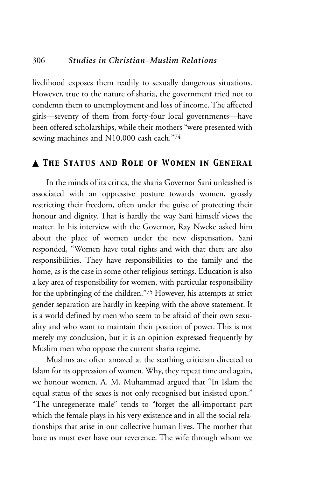## 306 *Studies in Christian–Muslim Relations*

livelihood exposes them readily to sexually dangerous situations. However, true to the nature of sharia, the government tried not to condemn them to unemployment and loss of income. The affected girls—seventy of them from forty-four local governments—have been offered scholarships, while their mothers "were presented with sewing machines and N10,000 cash each."74

## ▲ *The Status and Role of Women in General*

In the minds of its critics, the sharia Governor Sani unleashed is associated with an oppressive posture towards women, grossly restricting their freedom, often under the guise of protecting their honour and dignity. That is hardly the way Sani himself views the matter. In his interview with the Governor, Ray Nweke asked him about the place of women under the new dispensation. Sani responded, "Women have total rights and with that there are also responsibilities. They have responsibilities to the family and the home, as is the case in some other religious settings. Education is also a key area of responsibility for women, with particular responsibility for the upbringing of the children."75 However, his attempts at strict gender separation are hardly in keeping with the above statement. It is a world defined by men who seem to be afraid of their own sexuality and who want to maintain their position of power. This is not merely my conclusion, but it is an opinion expressed frequently by Muslim men who oppose the current sharia regime.

Muslims are often amazed at the scathing criticism directed to Islam for its oppression of women. Why, they repeat time and again, we honour women. A. M. Muhammad argued that "In Islam the equal status of the sexes is not only recognised but insisted upon." "The unregenerate male" tends to "forget the all-important part which the female plays in his very existence and in all the social relationships that arise in our collective human lives. The mother that bore us must ever have our reverence. The wife through whom we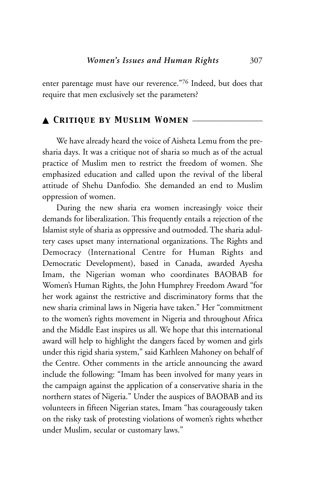enter parentage must have our reverence."76 Indeed, but does that require that men exclusively set the parameters?

## ▲ *Critique by Muslim Women* \_\_\_\_\_\_\_\_\_\_\_\_\_\_\_\_\_\_

We have already heard the voice of Aisheta Lemu from the presharia days. It was a critique not of sharia so much as of the actual practice of Muslim men to restrict the freedom of women. She emphasized education and called upon the revival of the liberal attitude of Shehu Danfodio. She demanded an end to Muslim oppression of women.

During the new sharia era women increasingly voice their demands for liberalization. This frequently entails a rejection of the Islamist style of sharia as oppressive and outmoded. The sharia adultery cases upset many international organizations. The Rights and Democracy (International Centre for Human Rights and Democratic Development), based in Canada, awarded Ayesha Imam, the Nigerian woman who coordinates BAOBAB for Women's Human Rights, the John Humphrey Freedom Award "for her work against the restrictive and discriminatory forms that the new sharia criminal laws in Nigeria have taken." Her "commitment to the women's rights movement in Nigeria and throughout Africa and the Middle East inspires us all. We hope that this international award will help to highlight the dangers faced by women and girls under this rigid sharia system," said Kathleen Mahoney on behalf of the Centre. Other comments in the article announcing the award include the following: "Imam has been involved for many years in the campaign against the application of a conservative sharia in the northern states of Nigeria." Under the auspices of BAOBAB and its volunteers in fifteen Nigerian states, Imam "has courageously taken on the risky task of protesting violations of women's rights whether under Muslim, secular or customary laws."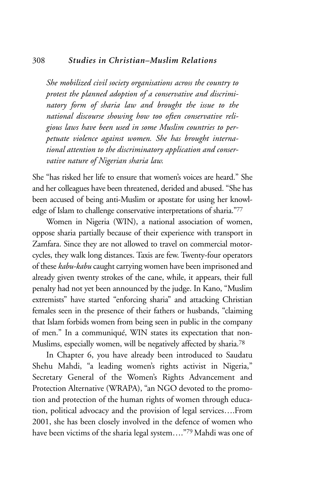#### 308 *Studies in Christian–Muslim Relations*

*She mobilized civil society organisations across the country to protest the planned adoption of a conservative and discriminatory form of sharia law and brought the issue to the national discourse showing how too often conservative religious laws have been used in some Muslim countries to perpetuate violence against women. She has brought international attention to the discriminatory application and conservative nature of Nigerian sharia law.*

She "has risked her life to ensure that women's voices are heard." She and her colleagues have been threatened, derided and abused. "She has been accused of being anti-Muslim or apostate for using her knowledge of Islam to challenge conservative interpretations of sharia."77

Women in Nigeria (WIN), a national association of women, oppose sharia partially because of their experience with transport in Zamfara. Since they are not allowed to travel on commercial motorcycles, they walk long distances. Taxis are few. Twenty-four operators of these *kabu-kabu* caught carrying women have been imprisoned and already given twenty strokes of the cane, while, it appears, their full penalty had not yet been announced by the judge. In Kano, "Muslim extremists" have started "enforcing sharia" and attacking Christian females seen in the presence of their fathers or husbands, "claiming that Islam forbids women from being seen in public in the company of men." In a communiqué, WIN states its expectation that non-Muslims, especially women, will be negatively affected by sharia.78

In Chapter 6, you have already been introduced to Saudatu Shehu Mahdi, "a leading women's rights activist in Nigeria," Secretary General of the Women's Rights Advancement and Protection Alternative (WRAPA), "an NGO devoted to the promotion and protection of the human rights of women through education, political advocacy and the provision of legal services….From 2001, she has been closely involved in the defence of women who have been victims of the sharia legal system…."79 Mahdi was one of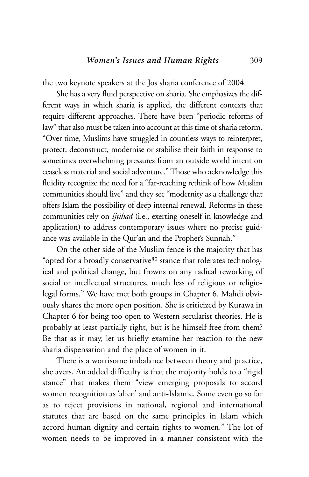the two keynote speakers at the Jos sharia conference of 2004.

She has a very fluid perspective on sharia. She emphasizes the different ways in which sharia is applied, the different contexts that require different approaches. There have been "periodic reforms of law" that also must be taken into account at this time of sharia reform. "Over time, Muslims have struggled in countless ways to reinterpret, protect, deconstruct, modernise or stabilise their faith in response to sometimes overwhelming pressures from an outside world intent on ceaseless material and social adventure." Those who acknowledge this fluidity recognize the need for a "far-reaching rethink of how Muslim communities should live" and they see "modernity as a challenge that offers Islam the possibility of deep internal renewal. Reforms in these communities rely on *ijtihad* (i.e., exerting oneself in knowledge and application) to address contemporary issues where no precise guidance was available in the Qur'an and the Prophet's Sunnah."

On the other side of the Muslim fence is the majority that has "opted for a broadly conservative<sup>80</sup> stance that tolerates technological and political change, but frowns on any radical reworking of social or intellectual structures, much less of religious or religiolegal forms." We have met both groups in Chapter 6. Mahdi obviously shares the more open position. She is criticized by Kurawa in Chapter 6 for being too open to Western secularist theories. He is probably at least partially right, but is he himself free from them? Be that as it may, let us briefly examine her reaction to the new sharia dispensation and the place of women in it.

There is a worrisome imbalance between theory and practice, she avers. An added difficulty is that the majority holds to a "rigid stance" that makes them "view emerging proposals to accord women recognition as 'alien' and anti-Islamic. Some even go so far as to reject provisions in national, regional and international statutes that are based on the same principles in Islam which accord human dignity and certain rights to women." The lot of women needs to be improved in a manner consistent with the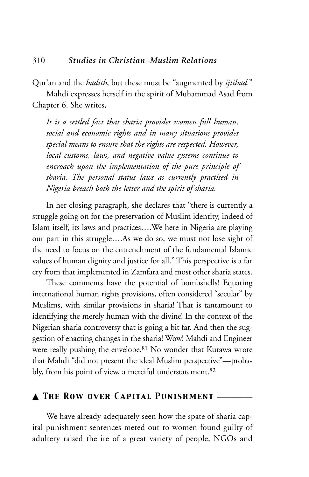Qur'an and the *hadith*, but these must be "augmented by *ijtihad*."

Mahdi expresses herself in the spirit of Muhammad Asad from Chapter 6. She writes,

*It is a settled fact that sharia provides women full human, social and economic rights and in many situations provides special means to ensure that the rights are respected. However, local customs, laws, and negative value systems continue to encroach upon the implementation of the pure principle of sharia. The personal status laws as currently practised in Nigeria breach both the letter and the spirit of sharia.* 

In her closing paragraph, she declares that "there is currently a struggle going on for the preservation of Muslim identity, indeed of Islam itself, its laws and practices….We here in Nigeria are playing our part in this struggle….As we do so, we must not lose sight of the need to focus on the entrenchment of the fundamental Islamic values of human dignity and justice for all." This perspective is a far cry from that implemented in Zamfara and most other sharia states.

These comments have the potential of bombshells! Equating international human rights provisions, often considered "secular" by Muslims, with similar provisions in sharia! That is tantamount to identifying the merely human with the divine! In the context of the Nigerian sharia controversy that is going a bit far. And then the suggestion of enacting changes in the sharia! Wow! Mahdi and Engineer were really pushing the envelope.81 No wonder that Kurawa wrote that Mahdi "did not present the ideal Muslim perspective"—probably, from his point of view, a merciful understatement.82

## ▲ *The Row over Capital Punishment* \_\_\_\_\_\_\_\_\_

We have already adequately seen how the spate of sharia capital punishment sentences meted out to women found guilty of adultery raised the ire of a great variety of people, NGOs and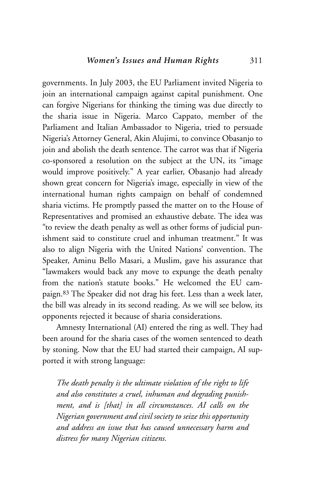governments. In July 2003, the EU Parliament invited Nigeria to join an international campaign against capital punishment. One can forgive Nigerians for thinking the timing was due directly to the sharia issue in Nigeria. Marco Cappato, member of the Parliament and Italian Ambassador to Nigeria, tried to persuade Nigeria's Attorney General, Akin Alujimi, to convince Obasanjo to join and abolish the death sentence. The carrot was that if Nigeria co-sponsored a resolution on the subject at the UN, its "image would improve positively." A year earlier, Obasanjo had already shown great concern for Nigeria's image, especially in view of the international human rights campaign on behalf of condemned sharia victims. He promptly passed the matter on to the House of Representatives and promised an exhaustive debate. The idea was "to review the death penalty as well as other forms of judicial punishment said to constitute cruel and inhuman treatment." It was also to align Nigeria with the United Nations' convention. The Speaker, Aminu Bello Masari, a Muslim, gave his assurance that "lawmakers would back any move to expunge the death penalty from the nation's statute books." He welcomed the EU campaign.83 The Speaker did not drag his feet. Less than a week later, the bill was already in its second reading. As we will see below, its opponents rejected it because of sharia considerations.

Amnesty International (AI) entered the ring as well. They had been around for the sharia cases of the women sentenced to death by stoning. Now that the EU had started their campaign, AI supported it with strong language:

*The death penalty is the ultimate violation of the right to life and also constitutes a cruel, inhuman and degrading punishment, and is [that] in all circumstances. AI calls on the Nigerian government and civil society to seize this opportunity and address an issue that has caused unnecessary harm and distress for many Nigerian citizens.*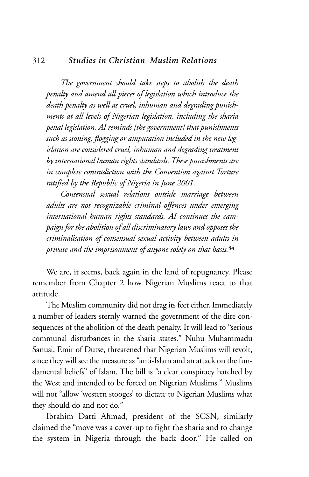#### 312 *Studies in Christian–Muslim Relations*

*The government should take steps to abolish the death penalty and amend all pieces of legislation which introduce the death penalty as well as cruel, inhuman and degrading punishments at all levels of Nigerian legislation, including the sharia penal legislation. AI reminds [the government] that punishments such as stoning, flogging or amputation included in the new legislation are considered cruel, inhuman and degrading treatment by international human rights standards. These punishments are in complete contradiction with the Convention against Torture ratified by the Republic of Nigeria in June 2001.*

*Consensual sexual relations outside marriage between adults are not recognizable criminal offences under emerging international human rights standards. AI continues the campaign for the abolition of all discriminatory laws and opposes the criminalisation of consensual sexual activity between adults in private and the imprisonment of anyone solely on that basis.*<sup>84</sup>

We are, it seems, back again in the land of repugnancy. Please remember from Chapter 2 how Nigerian Muslims react to that attitude.

The Muslim community did not drag its feet either. Immediately a number of leaders sternly warned the government of the dire consequences of the abolition of the death penalty. It will lead to "serious communal disturbances in the sharia states." Nuhu Muhammadu Sanusi, Emir of Dutse, threatened that Nigerian Muslims will revolt, since they will see the measure as "anti-Islam and an attack on the fundamental beliefs" of Islam. The bill is "a clear conspiracy hatched by the West and intended to be forced on Nigerian Muslims." Muslims will not "allow 'western stooges' to dictate to Nigerian Muslims what they should do and not do."

Ibrahim Datti Ahmad, president of the SCSN, similarly claimed the "move was a cover-up to fight the sharia and to change the system in Nigeria through the back door." He called on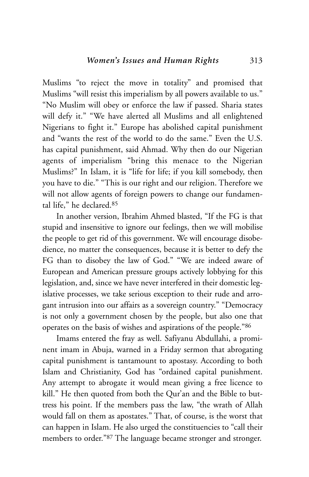Muslims "to reject the move in totality" and promised that Muslims "will resist this imperialism by all powers available to us." "No Muslim will obey or enforce the law if passed. Sharia states will defy it." "We have alerted all Muslims and all enlightened Nigerians to fight it." Europe has abolished capital punishment and "wants the rest of the world to do the same." Even the U.S. has capital punishment, said Ahmad. Why then do our Nigerian agents of imperialism "bring this menace to the Nigerian Muslims?" In Islam, it is "life for life; if you kill somebody, then you have to die." "This is our right and our religion. Therefore we will not allow agents of foreign powers to change our fundamental life," he declared.85

In another version, Ibrahim Ahmed blasted, "If the FG is that stupid and insensitive to ignore our feelings, then we will mobilise the people to get rid of this government. We will encourage disobedience, no matter the consequences, because it is better to defy the FG than to disobey the law of God." "We are indeed aware of European and American pressure groups actively lobbying for this legislation, and, since we have never interfered in their domestic legislative processes, we take serious exception to their rude and arrogant intrusion into our affairs as a sovereign country." "Democracy is not only a government chosen by the people, but also one that operates on the basis of wishes and aspirations of the people."86

Imams entered the fray as well. Safiyanu Abdullahi, a prominent imam in Abuja, warned in a Friday sermon that abrogating capital punishment is tantamount to apostasy. According to both Islam and Christianity, God has "ordained capital punishment. Any attempt to abrogate it would mean giving a free licence to kill." He then quoted from both the Qur'an and the Bible to buttress his point. If the members pass the law, "the wrath of Allah would fall on them as apostates." That, of course, is the worst that can happen in Islam. He also urged the constituencies to "call their members to order."87 The language became stronger and stronger.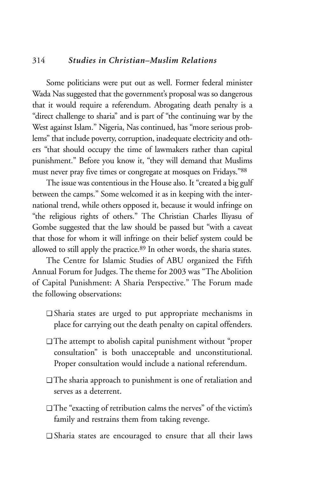## 314 *Studies in Christian–Muslim Relations*

Some politicians were put out as well. Former federal minister Wada Nas suggested that the government's proposal was so dangerous that it would require a referendum. Abrogating death penalty is a "direct challenge to sharia" and is part of "the continuing war by the West against Islam." Nigeria, Nas continued, has "more serious problems" that include poverty, corruption, inadequate electricity and others "that should occupy the time of lawmakers rather than capital punishment." Before you know it, "they will demand that Muslims must never pray five times or congregate at mosques on Fridays."88

The issue was contentious in the House also. It "created a big gulf between the camps." Some welcomed it as in keeping with the international trend, while others opposed it, because it would infringe on "the religious rights of others." The Christian Charles Iliyasu of Gombe suggested that the law should be passed but "with a caveat that those for whom it will infringe on their belief system could be allowed to still apply the practice.89 In other words, the sharia states.

The Centre for Islamic Studies of ABU organized the Fifth Annual Forum for Judges. The theme for 2003 was "The Abolition of Capital Punishment: A Sharia Perspective." The Forum made the following observations:

- ❑ Sharia states are urged to put appropriate mechanisms in place for carrying out the death penalty on capital offenders.
- ❑ The attempt to abolish capital punishment without "proper consultation" is both unacceptable and unconstitutional. Proper consultation would include a national referendum.
- ❑ The sharia approach to punishment is one of retaliation and serves as a deterrent.
- ❑ The "exacting of retribution calms the nerves" of the victim's family and restrains them from taking revenge.
- ❑ Sharia states are encouraged to ensure that all their laws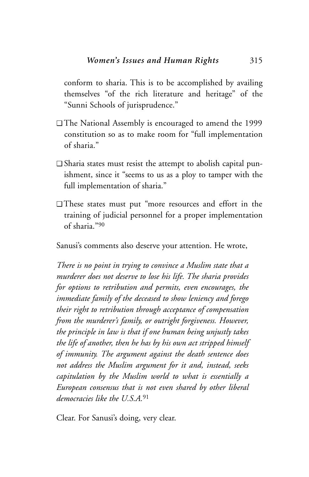conform to sharia. This is to be accomplished by availing themselves "of the rich literature and heritage" of the "Sunni Schools of jurisprudence."

- ❑ The National Assembly is encouraged to amend the 1999 constitution so as to make room for "full implementation of sharia."
- ❑ Sharia states must resist the attempt to abolish capital punishment, since it "seems to us as a ploy to tamper with the full implementation of sharia."
- ❑ These states must put "more resources and effort in the training of judicial personnel for a proper implementation of sharia."90

Sanusi's comments also deserve your attention. He wrote,

*There is no point in trying to convince a Muslim state that a murderer does not deserve to lose his life. The sharia provides for options to retribution and permits, even encourages, the immediate family of the deceased to show leniency and forego their right to retribution through acceptance of compensation from the murderer's family, or outright forgiveness. However, the principle in law is that if one human being unjustly takes the life of another, then he has by his own act stripped himself of immunity. The argument against the death sentence does not address the Muslim argument for it and, instead, seeks capitulation by the Muslim world to what is essentially a European consensus that is not even shared by other liberal democracies like the U.S.A.*<sup>91</sup>

Clear. For Sanusi's doing, very clear.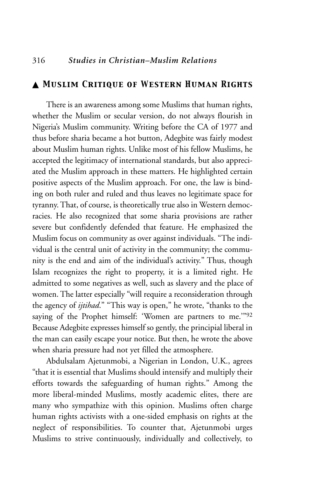## ▲ *Muslim Critique of Western Human Rights*

There is an awareness among some Muslims that human rights, whether the Muslim or secular version, do not always flourish in Nigeria's Muslim community. Writing before the CA of 1977 and thus before sharia became a hot button, Adegbite was fairly modest about Muslim human rights. Unlike most of his fellow Muslims, he accepted the legitimacy of international standards, but also appreciated the Muslim approach in these matters. He highlighted certain positive aspects of the Muslim approach. For one, the law is binding on both ruler and ruled and thus leaves no legitimate space for tyranny. That, of course, is theoretically true also in Western democracies. He also recognized that some sharia provisions are rather severe but confidently defended that feature. He emphasized the Muslim focus on community as over against individuals. "The individual is the central unit of activity in the community; the community is the end and aim of the individual's activity." Thus, though Islam recognizes the right to property, it is a limited right. He admitted to some negatives as well, such as slavery and the place of women. The latter especially "will require a reconsideration through the agency of *ijtihad*." "This way is open," he wrote, "thanks to the saying of the Prophet himself: 'Women are partners to me.'"92 Because Adegbite expresses himself so gently, the principial liberal in the man can easily escape your notice. But then, he wrote the above when sharia pressure had not yet filled the atmosphere.

Abdulsalam Ajetunmobi, a Nigerian in London, U.K., agrees "that it is essential that Muslims should intensify and multiply their efforts towards the safeguarding of human rights." Among the more liberal-minded Muslims, mostly academic elites, there are many who sympathize with this opinion. Muslims often charge human rights activists with a one-sided emphasis on rights at the neglect of responsibilities. To counter that, Ajetunmobi urges Muslims to strive continuously, individually and collectively, to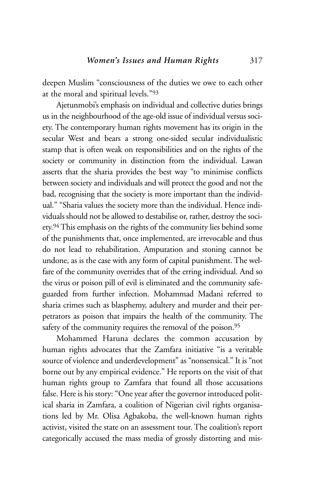deepen Muslim "consciousness of the duties we owe to each other at the moral and spiritual levels."93

Ajetunmobi's emphasis on individual and collective duties brings us in the neighbourhood of the age-old issue of individual versus society. The contemporary human rights movement has its origin in the secular West and bears a strong one-sided secular individualistic stamp that is often weak on responsibilities and on the rights of the society or community in distinction from the individual. Lawan asserts that the sharia provides the best way "to minimise conflicts between society and individuals and will protect the good and not the bad, recognising that the society is more important than the individual." "Sharia values the society more than the individual. Hence individuals should not be allowed to destabilise or, rather, destroy the society.94 This emphasis on the rights of the community lies behind some of the punishments that, once implemented, are irrevocable and thus do not lead to rehabilitation. Amputation and stoning cannot be undone, as is the case with any form of capital punishment. The welfare of the community overrides that of the erring individual. And so the virus or poison pill of evil is eliminated and the community safeguarded from further infection. Mohammad Madani referred to sharia crimes such as blasphemy, adultery and murder and their perpetrators as poison that impairs the health of the community. The safety of the community requires the removal of the poison.<sup>95</sup>

Mohammed Haruna declares the common accusation by human rights advocates that the Zamfara initiative "is a veritable source of violence and underdevelopment" as "nonsensical." It is "not borne out by any empirical evidence." He reports on the visit of that human rights group to Zamfara that found all those accusations false. Here is his story: "One year after the governor introduced political sharia in Zamfara, a coalition of Nigerian civil rights organisations led by Mr. Olisa Agbakoba, the well-known human rights activist, visited the state on an assessment tour. The coalition's report categorically accused the mass media of grossly distorting and mis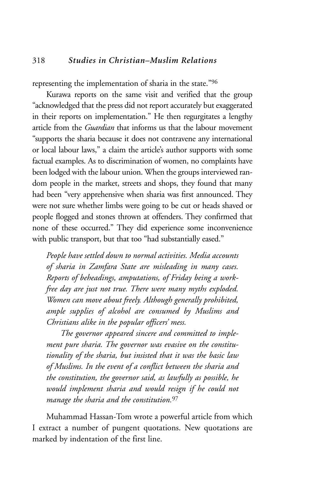representing the implementation of sharia in the state."96

Kurawa reports on the same visit and verified that the group "acknowledged that the press did not report accurately but exaggerated in their reports on implementation." He then regurgitates a lengthy article from the *Guardian* that informs us that the labour movement "supports the sharia because it does not contravene any international or local labour laws," a claim the article's author supports with some factual examples. As to discrimination of women, no complaints have been lodged with the labour union. When the groups interviewed random people in the market, streets and shops, they found that many had been "very apprehensive when sharia was first announced. They were not sure whether limbs were going to be cut or heads shaved or people flogged and stones thrown at offenders. They confirmed that none of these occurred." They did experience some inconvenience with public transport, but that too "had substantially eased."

*People have settled down to normal activities. Media accounts of sharia in Zamfara State are misleading in many cases. Reports of beheadings, amputations, of Friday being a workfree day are just not true. There were many myths exploded. Women can move about freely. Although generally prohibited, ample supplies of alcohol are consumed by Muslims and Christians alike in the popular officers' mess.*

*The governor appeared sincere and committed to implement pure sharia. The governor was evasive on the constitutionality of the sharia, but insisted that it was the basic law of Muslims. In the event of a conflict between the sharia and the constitution, the governor said, as lawfully as possible, he would implement sharia and would resign if he could not manage the sharia and the constitution.*<sup>97</sup>

Muhammad Hassan-Tom wrote a powerful article from which I extract a number of pungent quotations. New quotations are marked by indentation of the first line.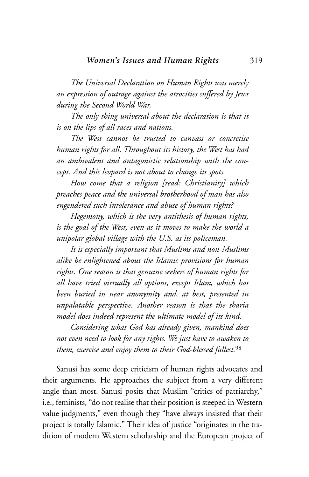*The Universal Declaration on Human Rights was merely an expression of outrage against the atrocities suffered by Jews during the Second World War.*

*The only thing universal about the declaration is that it is on the lips of all races and nations.*

*The West cannot be trusted to canvass or concretise human rights for all. Throughout its history, the West has had an ambivalent and antagonistic relationship with the concept. And this leopard is not about to change its spots.*

*How come that a religion [read: Christianity] which preaches peace and the universal brotherhood of man has also engendered such intolerance and abuse of human rights?*

*Hegemony, which is the very antithesis of human rights, is the goal of the West, even as it moves to make the world a unipolar global village with the U.S. as its policeman.* 

*It is especially important that Muslims and non-Muslims alike be enlightened about the Islamic provisions for human rights. One reason is that genuine seekers of human rights for all have tried virtually all options, except Islam, which has been buried in near anonymity and, at best, presented in unpalatable perspective. Another reason is that the sharia model does indeed represent the ultimate model of its kind.*

*Considering what God has already given, mankind does not even need to look for any rights. We just have to awaken to them, exercise and enjoy them to their God-blessed fullest.*<sup>98</sup>

Sanusi has some deep criticism of human rights advocates and their arguments. He approaches the subject from a very different angle than most. Sanusi posits that Muslim "critics of patriarchy," i.e., feminists, "do not realise that their position is steeped in Western value judgments," even though they "have always insisted that their project is totally Islamic." Their idea of justice "originates in the tradition of modern Western scholarship and the European project of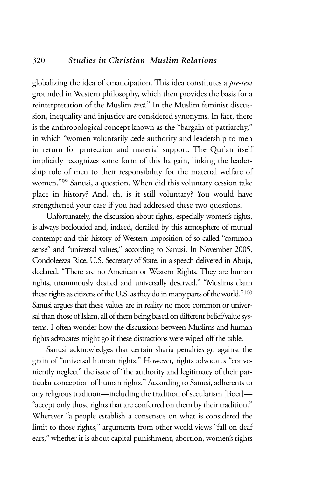## 320 *Studies in Christian–Muslim Relations*

globalizing the idea of emancipation. This idea constitutes a *pre-text* grounded in Western philosophy, which then provides the basis for a reinterpretation of the Muslim *text*." In the Muslim feminist discussion, inequality and injustice are considered synonyms. In fact, there is the anthropological concept known as the "bargain of patriarchy," in which "women voluntarily cede authority and leadership to men in return for protection and material support. The Qur'an itself implicitly recognizes some form of this bargain, linking the leadership role of men to their responsibility for the material welfare of women."99 Sanusi, a question. When did this voluntary cession take place in history? And, eh, is it still voluntary? You would have strengthened your case if you had addressed these two questions.

Unfortunately, the discussion about rights, especially women's rights, is always beclouded and, indeed, derailed by this atmosphere of mutual contempt and this history of Western imposition of so-called "common sense" and "universal values," according to Sanusi. In November 2005, Condoleezza Rice, U.S. Secretary of State, in a speech delivered in Abuja, declared, "There are no American or Western Rights. They are human rights, unanimously desired and universally deserved." "Muslims claim these rights as citizens of the U.S. as they do in many parts of the world."100 Sanusi argues that these values are in reality no more common or universal than those of Islam, all of them being based on different belief/value systems. I often wonder how the discussions between Muslims and human rights advocates might go if these distractions were wiped off the table.

Sanusi acknowledges that certain sharia penalties go against the grain of "universal human rights." However, rights advocates "conveniently neglect" the issue of "the authority and legitimacy of their particular conception of human rights." According to Sanusi, adherents to any religious tradition—including the tradition of secularism [Boer]— "accept only those rights that are conferred on them by their tradition." Wherever "a people establish a consensus on what is considered the limit to those rights," arguments from other world views "fall on deaf ears," whether it is about capital punishment, abortion, women's rights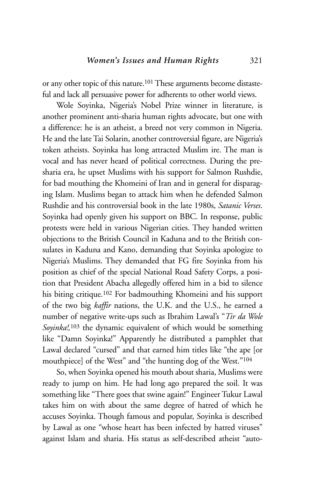or any other topic of this nature.101 These arguments become distasteful and lack all persuasive power for adherents to other world views.

Wole Soyinka, Nigeria's Nobel Prize winner in literature, is another prominent anti-sharia human rights advocate, but one with a difference: he is an atheist, a breed not very common in Nigeria. He and the late Tai Solarin, another controversial figure, are Nigeria's token atheists. Soyinka has long attracted Muslim ire. The man is vocal and has never heard of political correctness. During the presharia era, he upset Muslims with his support for Salmon Rushdie, for bad mouthing the Khomeini of Iran and in general for disparaging Islam. Muslims began to attack him when he defended Salmon Rushdie and his controversial book in the late 1980s, *Satanic Verses*. Soyinka had openly given his support on BBC. In response, public protests were held in various Nigerian cities. They handed written objections to the British Council in Kaduna and to the British consulates in Kaduna and Kano, demanding that Soyinka apologize to Nigeria's Muslims. They demanded that FG fire Soyinka from his position as chief of the special National Road Safety Corps, a position that President Abacha allegedly offered him in a bid to silence his biting critique.<sup>102</sup> For badmouthing Khomeini and his support of the two big *kaffir* nations, the U.K. and the U.S., he earned a number of negative write-ups such as Ibrahim Lawal's "*Tir da Wole Soyinka!,*<sup>103</sup> the dynamic equivalent of which would be something like "Damn Soyinka!" Apparently he distributed a pamphlet that Lawal declared "cursed" and that earned him titles like "the ape [or mouthpiece] of the West" and "the hunting dog of the West."104

So, when Soyinka opened his mouth about sharia, Muslims were ready to jump on him. He had long ago prepared the soil. It was something like "There goes that swine again!" Engineer Tukur Lawal takes him on with about the same degree of hatred of which he accuses Soyinka. Though famous and popular, Soyinka is described by Lawal as one "whose heart has been infected by hatred viruses" against Islam and sharia. His status as self-described atheist "auto-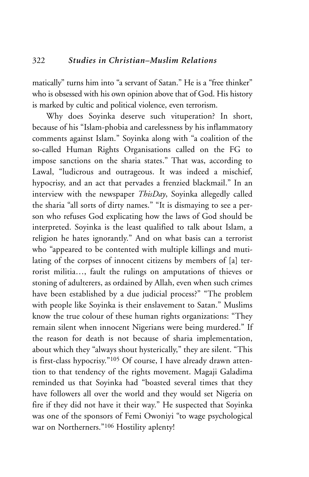matically" turns him into "a servant of Satan." He is a "free thinker" who is obsessed with his own opinion above that of God. His history is marked by cultic and political violence, even terrorism.

Why does Soyinka deserve such vituperation? In short, because of his "Islam-phobia and carelessness by his inflammatory comments against Islam." Soyinka along with "a coalition of the so-called Human Rights Organisations called on the FG to impose sanctions on the sharia states." That was, according to Lawal, "ludicrous and outrageous. It was indeed a mischief, hypocrisy, and an act that pervades a frenzied blackmail." In an interview with the newspaper *ThisDay*, Soyinka allegedly called the sharia "all sorts of dirty names." "It is dismaying to see a person who refuses God explicating how the laws of God should be interpreted. Soyinka is the least qualified to talk about Islam, a religion he hates ignorantly." And on what basis can a terrorist who "appeared to be contented with multiple killings and mutilating of the corpses of innocent citizens by members of [a] terrorist militia…, fault the rulings on amputations of thieves or stoning of adulterers, as ordained by Allah, even when such crimes have been established by a due judicial process?" "The problem with people like Soyinka is their enslavement to Satan." Muslims know the true colour of these human rights organizations: "They remain silent when innocent Nigerians were being murdered." If the reason for death is not because of sharia implementation, about which they "always shout hysterically," they are silent. "This is first-class hypocrisy."105 Of course, I have already drawn attention to that tendency of the rights movement. Magaji Galadima reminded us that Soyinka had "boasted several times that they have followers all over the world and they would set Nigeria on fire if they did not have it their way." He suspected that Soyinka was one of the sponsors of Femi Owoniyi "to wage psychological war on Northerners."106 Hostility aplenty!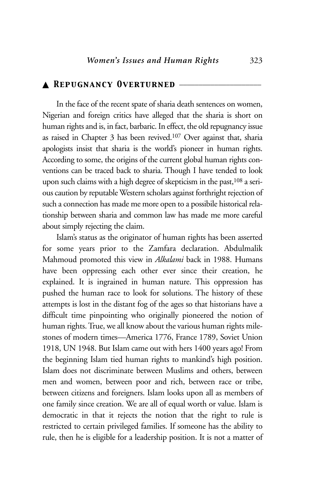## ▲ *Repugnancy Overturned* \_\_\_\_\_\_\_\_\_\_\_\_\_\_\_\_\_\_\_\_\_

In the face of the recent spate of sharia death sentences on women, Nigerian and foreign critics have alleged that the sharia is short on human rights and is, in fact, barbaric. In effect, the old repugnancy issue as raised in Chapter 3 has been revived.107 Over against that, sharia apologists insist that sharia is the world's pioneer in human rights. According to some, the origins of the current global human rights conventions can be traced back to sharia. Though I have tended to look upon such claims with a high degree of skepticism in the past,<sup>108</sup> a serious caution by reputable Western scholars against forthright rejection of such a connection has made me more open to a possibile historical relationship between sharia and common law has made me more careful about simply rejecting the claim.

Islam's status as the originator of human rights has been asserted for some years prior to the Zamfara declaration. Abdulmalik Mahmoud promoted this view in *Alkalami* back in 1988. Humans have been oppressing each other ever since their creation, he explained. It is ingrained in human nature. This oppression has pushed the human race to look for solutions. The history of these attempts is lost in the distant fog of the ages so that historians have a difficult time pinpointing who originally pioneered the notion of human rights. True, we all know about the various human rights milestones of modern times—America 1776, France 1789, Soviet Union 1918, UN 1948. But Islam came out with hers 1400 years ago! From the beginning Islam tied human rights to mankind's high position. Islam does not discriminate between Muslims and others, between men and women, between poor and rich, between race or tribe, between citizens and foreigners. Islam looks upon all as members of one family since creation. We are all of equal worth or value. Islam is democratic in that it rejects the notion that the right to rule is restricted to certain privileged families. If someone has the ability to rule, then he is eligible for a leadership position. It is not a matter of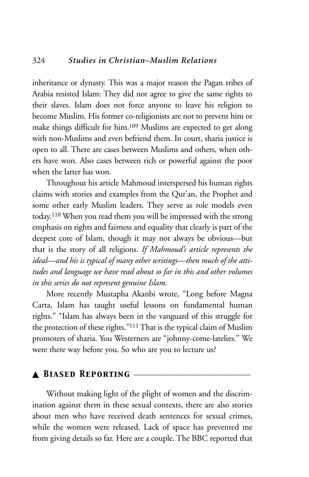## 324 *Studies in Christian–Muslim Relations*

inheritance or dynasty. This was a major reason the Pagan tribes of Arabia resisted Islam: They did not agree to give the same rights to their slaves. Islam does not force anyone to leave his religion to become Muslim. His former co-religionists are not to prevent him or make things difficult for him.109 Muslims are expected to get along with non-Muslims and even befriend them. In court, sharia justice is open to all. There are cases between Muslims and others, when others have won. Also cases between rich or powerful against the poor when the latter has won.

Throughout his article Mahmoud interspersed his human rights claims with stories and examples from the Qur'an, the Prophet and some other early Muslim leaders. They serve as role models even today.110 When you read them you will be impressed with the strong emphasis on rights and fairness and equality that clearly is part of the deepest core of Islam, though it may not always be obvious—but that is the story of all religions. *If Mahmoud's article represents the ideal—and his is typical of many other writings—then much of the attitudes and language we have read about so far in this and other volumes in this series do not represent genuine Islam.* 

More recently Mustapha Akanbi wrote, "Long before Magna Carta, Islam has taught useful lessons on fundamental human rights." "Islam has always been in the vanguard of this struggle for the protection of these rights."<sup>111</sup> That is the typical claim of Muslim promoters of sharia. You Westerners are "johnny-come-latelies." We were there way before you. So who are you to lecture us?

#### ▲ BIASED REPORTING

Without making light of the plight of women and the discrimination against them in these sexual contexts, there are also stories about men who have received death sentences for sexual crimes, while the women were released. Lack of space has prevented me from giving details so far. Here are a couple. The BBC reported that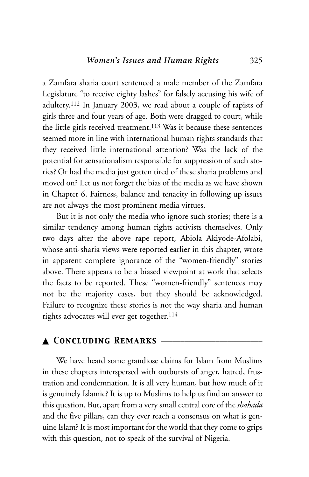a Zamfara sharia court sentenced a male member of the Zamfara Legislature "to receive eighty lashes" for falsely accusing his wife of adultery.112 In January 2003, we read about a couple of rapists of girls three and four years of age. Both were dragged to court, while the little girls received treatment.113 Was it because these sentences seemed more in line with international human rights standards that they received little international attention? Was the lack of the potential for sensationalism responsible for suppression of such stories? Or had the media just gotten tired of these sharia problems and moved on? Let us not forget the bias of the media as we have shown in Chapter 6. Fairness, balance and tenacity in following up issues are not always the most prominent media virtues.

But it is not only the media who ignore such stories; there is a similar tendency among human rights activists themselves. Only two days after the above rape report, Abiola Akiyode-Afolabi, whose anti-sharia views were reported earlier in this chapter, wrote in apparent complete ignorance of the "women-friendly" stories above. There appears to be a biased viewpoint at work that selects the facts to be reported. These "women-friendly" sentences may not be the majority cases, but they should be acknowledged. Failure to recognize these stories is not the way sharia and human rights advocates will ever get together.<sup>114</sup>

## ▲ *Concluding Remarks* \_\_\_\_\_\_\_\_\_\_\_\_\_\_\_\_\_\_\_\_\_\_\_\_\_\_

We have heard some grandiose claims for Islam from Muslims in these chapters interspersed with outbursts of anger, hatred, frustration and condemnation. It is all very human, but how much of it is genuinely Islamic? It is up to Muslims to help us find an answer to this question. But, apart from a very small central core of the *shahada* and the five pillars, can they ever reach a consensus on what is genuine Islam? It is most important for the world that they come to grips with this question, not to speak of the survival of Nigeria.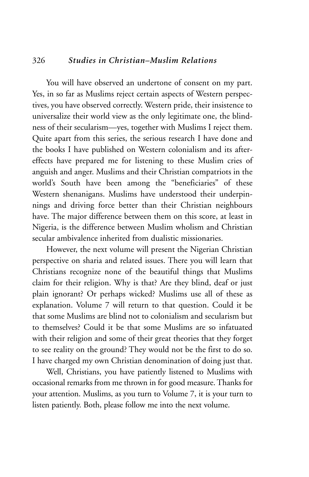## 326 *Studies in Christian–Muslim Relations*

You will have observed an undertone of consent on my part. Yes, in so far as Muslims reject certain aspects of Western perspectives, you have observed correctly. Western pride, their insistence to universalize their world view as the only legitimate one, the blindness of their secularism—yes, together with Muslims I reject them. Quite apart from this series, the serious research I have done and the books I have published on Western colonialism and its aftereffects have prepared me for listening to these Muslim cries of anguish and anger. Muslims and their Christian compatriots in the world's South have been among the "beneficiaries" of these Western shenanigans. Muslims have understood their underpinnings and driving force better than their Christian neighbours have. The major difference between them on this score, at least in Nigeria, is the difference between Muslim wholism and Christian secular ambivalence inherited from dualistic missionaries.

However, the next volume will present the Nigerian Christian perspective on sharia and related issues. There you will learn that Christians recognize none of the beautiful things that Muslims claim for their religion. Why is that? Are they blind, deaf or just plain ignorant? Or perhaps wicked? Muslims use all of these as explanation. Volume 7 will return to that question. Could it be that some Muslims are blind not to colonialism and secularism but to themselves? Could it be that some Muslims are so infatuated with their religion and some of their great theories that they forget to see reality on the ground? They would not be the first to do so. I have charged my own Christian denomination of doing just that.

Well, Christians, you have patiently listened to Muslims with occasional remarks from me thrown in for good measure. Thanks for your attention. Muslims, as you turn to Volume 7, it is your turn to listen patiently. Both, please follow me into the next volume.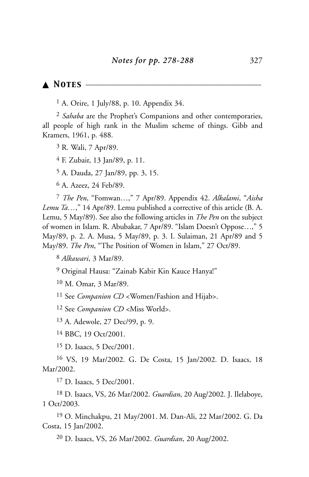## ▲ *Notes* \_\_\_\_\_\_\_\_\_\_\_\_\_\_\_\_\_\_\_\_\_\_\_\_\_\_\_\_\_\_\_\_\_\_\_\_\_\_\_\_\_\_\_\_\_

 $<sup>1</sup>$  A. Orire, 1 July/88, p. 10. Appendix 34.</sup>

2 *Sahaba* are the Prophet's Companions and other contemporaries, all people of high rank in the Muslim scheme of things. Gibb and Kramers, 1961, p. 488.

3 R. Wali, 7 Apr/89.

4 F. Zubair, 13 Jan/89, p. 11.

5 A. Dauda, 27 Jan/89, pp. 3, 15.

6 A. Azeez, 24 Feb/89.

7 *The Pen*, "Fomwan…," 7 Apr/89. Appendix 42. *Alkalami*, "*Aisha Lemu Ta…*," 14 Apr/89. Lemu published a corrective of this article (B. A. Lemu, 5 May/89). See also the following articles in *The Pen* on the subject of women in Islam. R. Abubakar, 7 Apr/89. "Islam Doesn't Oppose…," 5 May/89, p. 2. A. Musa, 5 May/89, p. 3. I. Sulaiman, 21 Apr/89 and 5 May/89. *The Pen*, "The Position of Women in Islam," 27 Oct/89.

8 *Alkawari*, 3 Mar/89.

9 Original Hausa: "Zainab Kabir Kin Kauce Hanya!"

10 M. Omar, 3 Mar/89.

11 See *Companion CD* <Women/Fashion and Hijab>.

12 See *Companion CD* <Miss World>.

13 A. Adewole, 27 Dec/99, p. 9.

14 BBC, 19 Oct/2001.

15 D. Isaacs, 5 Dec/2001.

16 VS, 19 Mar/2002. G. De Costa, 15 Jan/2002. D. Isaacs, 18 Mar/2002.

17 D. Isaacs, 5 Dec/2001.

18 D. Isaacs, VS, 26 Mar/2002. *Guardian*, 20 Aug/2002. J. Ilelaboye, 1 Oct/2003.

19 O. Minchakpu, 21 May/2001. M. Dan-Ali, 22 Mar/2002. G. Da Costa, 15 Jan/2002.

20 D. Isaacs, VS, 26 Mar/2002. *Guardian*, 20 Aug/2002.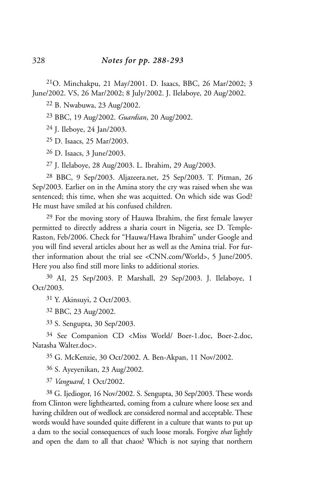21O. Minchakpu, 21 May/2001. D. Isaacs, BBC, 26 Mar/2002; 3 June/2002. VS, 26 Mar/2002; 8 July/2002. J. Ilelaboye, 20 Aug/2002.

22 B. Nwabuwa, 23 Aug/2002.

23 BBC, 19 Aug/2002. *Guardian*, 20 Aug/2002.

24 J. Ileboye, 24 Jan/2003.

25 D. Isaacs, 25 Mar/2003.

26 D. Isaacs, 3 June/2003.

27 J. Ilelaboye, 28 Aug/2003. L. Ibrahim, 29 Aug/2003.

28 BBC, 9 Sep/2003. Aljazeera.net, 25 Sep/2003. T. Pitman, 26 Sep/2003. Earlier on in the Amina story the cry was raised when she was sentenced; this time, when she was acquitted. On which side was God? He must have smiled at his confused children.

29 For the moving story of Hauwa Ibrahim, the first female lawyer permitted to directly address a sharia court in Nigeria, see D. Temple-Raston, Feb/2006. Check for "Hauwa/Hawa Ibrahim" under Google and you will find several articles about her as well as the Amina trial. For further information about the trial see <CNN.com/World>, 5 June/2005. Here you also find still more links to additional stories.

30 AI, 25 Sep/2003. P. Marshall, 29 Sep/2003. J. Ilelaboye, 1 Oct/2003.

31 Y. Akinsuyi, 2 Oct/2003.

32 BBC, 23 Aug/2002.

33 S. Sengupta, 30 Sep/2003.

34 See Companion CD <Miss World/ Boer-1.doc, Boer-2.doc, Natasha Walter.doc>.

35 G. McKenzie, 30 Oct/2002. A. Ben-Akpan, 11 Nov/2002.

36 S. Ayeyenikan, 23 Aug/2002.

37 *Vanguard*, 1 Oct/2002.

38 G. Ijediogor, 16 Nov/2002. S. Sengupta, 30 Sep/2003. These words from Clinton were lighthearted, coming from a culture where loose sex and having children out of wedlock are considered normal and acceptable. These words would have sounded quite different in a culture that wants to put up a dam to the social consequences of such loose morals. Forgive *that* lightly and open the dam to all that chaos? Which is not saying that northern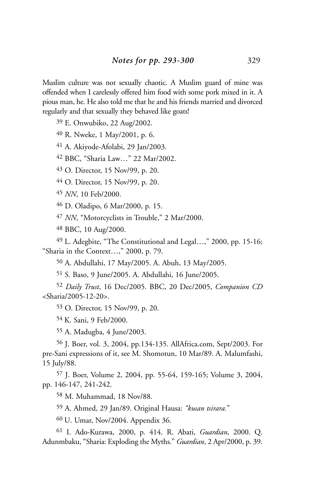Muslim culture was not sexually chaotic. A Muslim guard of mine was offended when I carelessly offered him food with some pork mixed in it. A pious man, he. He also told me that he and his friends married and divorced regularly and that sexually they behaved like goats!

E. Onwubiko, 22 Aug/2002.

R. Nweke, 1 May/2001, p. 6.

A. Akiyode-Afolabi, 29 Jan/2003.

BBC, "Sharia Law…" 22 Mar/2002.

O. Director, 15 Nov/99, p. 20.

O. Director, 15 Nov/99, p. 20.

*NN*, 10 Feb/2000.

D. Oladipo, 6 Mar/2000, p. 15.

*NN*, "Motorcyclists in Trouble," 2 Mar/2000.

BBC, 10 Aug/2000.

 L. Adegbite, "The Constitutional and Legal…," 2000, pp. 15-16; "Sharia in the Context…," 2000, p. 79.

A. Abdullahi, 17 May/2005. A. Abuh, 13 May/2005.

S. Baso, 9 June/2005. A. Abdullahi, 16 June/2005.

 *Daily Trust*, 16 Dec/2005. BBC, 20 Dec/2005, *Companion CD* <Sharia/2005-12-20>.

O. Director, 15 Nov/99, p. 20.

54 K. Sani, 9 Feb/2000.

A. Madugba, 4 June/2003.

 J. Boer, vol. 3, 2004, pp.134-135. AllAfrica.com, Sept/2003. For pre-Sani expressions of it, see M. Shomotun, 10 Mar/89. A. Malumfashi, 15 July/88.

 J. Boer, Volume 2, 2004, pp. 55-64, 159-165; Volume 3, 2004, pp. 146-147, 241-242.

M. Muhammad, 18 Nov/88.

A. Ahmed, 29 Jan/89. Original Hausa: *"kusan tsirara.*"

60 U. Umar, Nov/2004. Appendix 36.

 I. Ado-Kurawa, 2000, p. 414. R. Abati, *Guardian*, 2000. Q. Adunmbaku, "Sharia: Exploding the Myths." *Guardian*, 2 Apr/2000, p. 39.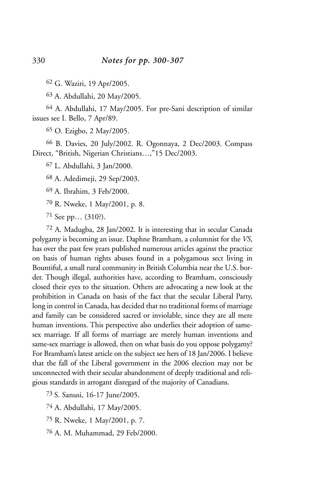62 G. Waziri, 19 Apr/2005.

63 A. Abdullahi, 20 May/2005.

64 A. Abdullahi, 17 May/2005. For pre-Sani description of similar issues see I. Bello, 7 Apr/89.

65 O. Ezigbo, 2 May/2005.

66 B. Davies, 20 July/2002. R. Ogonnaya, 2 Dec/2003. Compass Direct, "British, Nigerian Christians…,"15 Dec/2003.

67 L. Abdullahi, 3 Jan/2000.

68 A. Adedimeji, 29 Sep/2003.

69 A. Ibrahim, 3 Feb/2000.

70 R. Nweke, 1 May/2001, p. 8.

71 See pp… (310?).

72 A. Madugba, 28 Jan/2002. It is interesting that in secular Canada polygamy is becoming an issue. Daphne Bramham, a columnist for the *VS*, has over the past few years published numerous articles against the practice on basis of human rights abuses found in a polygamous sect living in Bountiful, a small rural community in British Columbia near the U.S. border. Though illegal, authorities have, according to Bramham, consciously closed their eyes to the situation. Others are advocating a new look at the prohibition in Canada on basis of the fact that the secular Liberal Party, long in control in Canada, has decided that no traditional forms of marriage and family can be considered sacred or inviolable, since they are all mere human inventions. This perspective also underlies their adoption of samesex marriage. If all forms of marriage are merely human inventions and same-sex marriage is allowed, then on what basis do you oppose polygamy? For Bramham's latest article on the subject see hers of 18 Jan/2006. I believe that the fall of the Liberal government in the 2006 election may not be unconnected with their secular abandonment of deeply traditional and religious standards in arrogant disregard of the majority of Canadians.

73 S. Sanusi, 16-17 June/2005.

74 A. Abdullahi, 17 May/2005.

75 R. Nweke, 1 May/2001, p. 7.

76 A. M. Muhammad, 29 Feb/2000.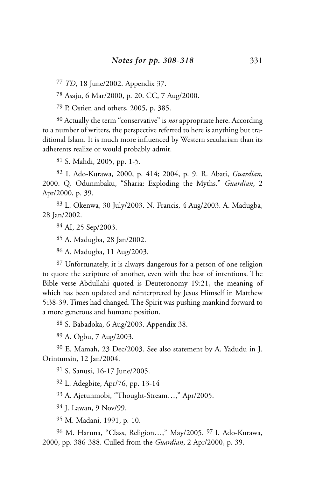77 *TD*, 18 June/2002. Appendix 37.

78 Asaju, 6 Mar/2000, p. 20. CC, 7 Aug/2000.

79 P. Ostien and others, 2005, p. 385.

80 Actually the term "conservative" is *not* appropriate here. According to a number of writers, the perspective referred to here is anything but traditional Islam. It is much more influenced by Western secularism than its adherents realize or would probably admit.

81 S. Mahdi, 2005, pp. 1-5.

82 I. Ado-Kurawa, 2000, p. 414; 2004, p. 9. R. Abati, *Guardian*, 2000. Q. Odunmbaku, "Sharia: Exploding the Myths." *Guardian*, 2 Apr/2000, p. 39.

83 L. Okenwa, 30 July/2003. N. Francis, 4 Aug/2003. A. Madugba, 28 Jan/2002.

84 AI, 25 Sep/2003.

85 A. Madugba, 28 Jan/2002.

86 A. Madugba, 11 Aug/2003.

87 Unfortunately, it is always dangerous for a person of one religion to quote the scripture of another, even with the best of intentions. The Bible verse Abdullahi quoted is Deuteronomy 19:21, the meaning of which has been updated and reinterpreted by Jesus Himself in Matthew 5:38-39. Times had changed. The Spirit was pushing mankind forward to a more generous and humane position.

88 S. Babadoka, 6 Aug/2003. Appendix 38.

89 A. Ogbu, 7 Aug/2003.

90 E. Mamah, 23 Dec/2003. See also statement by A. Yadudu in J. Orintunsin, 12 Jan/2004.

91 S. Sanusi, 16-17 June/2005.

92 L. Adegbite, Apr/76, pp. 13-14

93 A. Ajetunmobi, "Thought-Stream…," Apr/2005.

94 J. Lawan, 9 Nov/99.

95 M. Madani, 1991, p. 10.

96 M. Haruna, "Class, Religion…," May/2005. 97 I. Ado-Kurawa, 2000, pp. 386-388. Culled from the *Guardian*, 2 Apr/2000, p. 39.